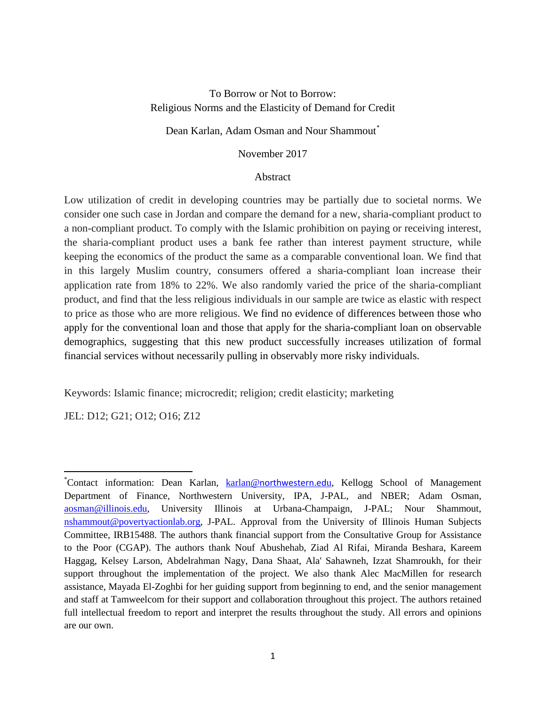# To Borrow or Not to Borrow: Religious Norms and the Elasticity of Demand for Credit

## Dean Karlan, Adam Osman and Nour Shammout[\\*](#page-0-0)

## November 2017

### Abstract

Low utilization of credit in developing countries may be partially due to societal norms. We consider one such case in Jordan and compare the demand for a new, sharia-compliant product to a non-compliant product. To comply with the Islamic prohibition on paying or receiving interest, the sharia-compliant product uses a bank fee rather than interest payment structure, while keeping the economics of the product the same as a comparable conventional loan. We find that in this largely Muslim country, consumers offered a sharia-compliant loan increase their application rate from 18% to 22%. We also randomly varied the price of the sharia-compliant product, and find that the less religious individuals in our sample are twice as elastic with respect to price as those who are more religious. We find no evidence of differences between those who apply for the conventional loan and those that apply for the sharia-compliant loan on observable demographics, suggesting that this new product successfully increases utilization of formal financial services without necessarily pulling in observably more risky individuals.

Keywords: Islamic finance; microcredit; religion; credit elasticity; marketing

JEL: D12; G21; O12; O16; Z12

l

<span id="page-0-0"></span><sup>\*</sup>Contact information: Dean Karlan, karlan@[northwestern.ed](mailto:karlan@northwestern.edu)u, Kellogg School of Management Department of Finance, Northwestern University, IPA, J-PAL, and NBER; Adam Osman, [aosman@illinois.edu,](mailto:aosman@illinois.edu) University Illinois at Urbana-Champaign, J-PAL; Nour Shammout, [nshammout@povertyactionlab.org,](mailto:nshammout@povertyactionlab.org) J-PAL. Approval from the University of Illinois Human Subjects Committee, IRB15488. The authors thank financial support from the Consultative Group for Assistance to the Poor (CGAP). The authors thank Nouf Abushehab, Ziad Al Rifai, Miranda Beshara, Kareem Haggag, Kelsey Larson, Abdelrahman Nagy, Dana Shaat, Ala' Sahawneh, Izzat Shamroukh, for their support throughout the implementation of the project. We also thank Alec MacMillen for research assistance, Mayada El-Zoghbi for her guiding support from beginning to end, and the senior management and staff at Tamweelcom for their support and collaboration throughout this project. The authors retained full intellectual freedom to report and interpret the results throughout the study. All errors and opinions are our own.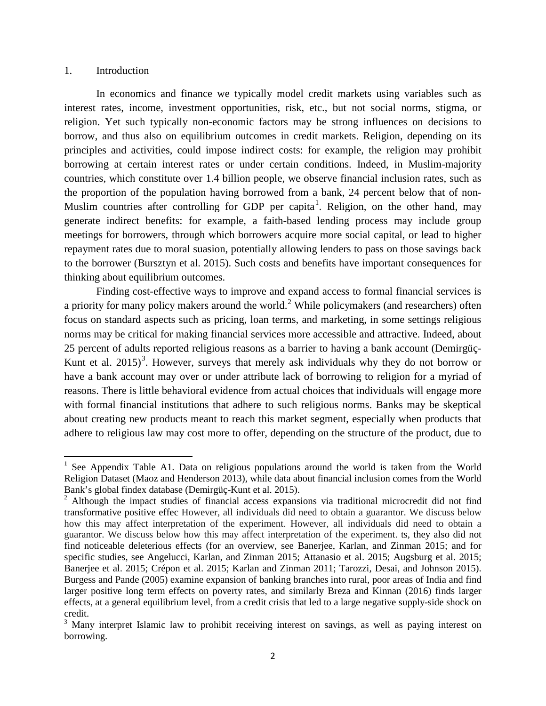#### 1. Introduction

In economics and finance we typically model credit markets using variables such as interest rates, income, investment opportunities, risk, etc., but not social norms, stigma, or religion. Yet such typically non-economic factors may be strong influences on decisions to borrow, and thus also on equilibrium outcomes in credit markets. Religion, depending on its principles and activities, could impose indirect costs: for example, the religion may prohibit borrowing at certain interest rates or under certain conditions. Indeed, in Muslim-majority countries, which constitute over 1.4 billion people, we observe financial inclusion rates, such as the proportion of the population having borrowed from a bank, 24 percent below that of non-Muslim countries after controlling for GDP per capita<sup>[1](#page-1-0)</sup>. Religion, on the other hand, may generate indirect benefits: for example, a faith-based lending process may include group meetings for borrowers, through which borrowers acquire more social capital, or lead to higher repayment rates due to moral suasion, potentially allowing lenders to pass on those savings back to the borrower (Bursztyn et al. 2015). Such costs and benefits have important consequences for thinking about equilibrium outcomes.

Finding cost-effective ways to improve and expand access to formal financial services is a priority for many policy makers around the world.<sup>[2](#page-1-1)</sup> While policymakers (and researchers) often focus on standard aspects such as pricing, loan terms, and marketing, in some settings religious norms may be critical for making financial services more accessible and attractive. Indeed, about 25 percent of adults reported religious reasons as a barrier to having a bank account (Demirgüç-Kunt et al. 2015)<sup>[3](#page-1-2)</sup>. However, surveys that merely ask individuals why they do not borrow or have a bank account may over or under attribute lack of borrowing to religion for a myriad of reasons. There is little behavioral evidence from actual choices that individuals will engage more with formal financial institutions that adhere to such religious norms. Banks may be skeptical about creating new products meant to reach this market segment, especially when products that adhere to religious law may cost more to offer, depending on the structure of the product, due to

<span id="page-1-0"></span><sup>&</sup>lt;sup>1</sup> See Appendix Table A1. Data on religious populations around the world is taken from the World Religion Dataset (Maoz and Henderson 2013), while data about financial inclusion comes from the World Bank's global findex database (Demirgüç-Kunt et al. 2015).<br><sup>2</sup> Although the impact studies of financial access expansions via traditional microcredit did not find

<span id="page-1-1"></span>transformative positive effec However, all individuals did need to obtain a guarantor. We discuss below how this may affect interpretation of the experiment. However, all individuals did need to obtain a guarantor. We discuss below how this may affect interpretation of the experiment. ts, they also did not find noticeable deleterious effects (for an overview, see Banerjee, Karlan, and Zinman 2015; and for specific studies, see Angelucci, Karlan, and Zinman 2015; Attanasio et al. 2015; Augsburg et al. 2015; Banerjee et al. 2015; Crépon et al. 2015; Karlan and Zinman 2011; Tarozzi, Desai, and Johnson 2015). Burgess and Pande (2005) examine expansion of banking branches into rural, poor areas of India and find larger positive long term effects on poverty rates, and similarly Breza and Kinnan (2016) finds larger effects, at a general equilibrium level, from a credit crisis that led to a large negative supply-side shock on credit.

<span id="page-1-2"></span><sup>&</sup>lt;sup>3</sup> Many interpret Islamic law to prohibit receiving interest on savings, as well as paying interest on borrowing.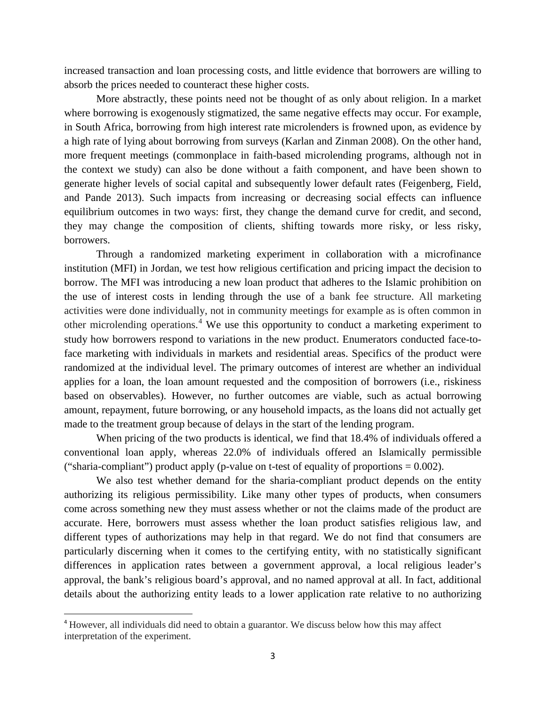increased transaction and loan processing costs, and little evidence that borrowers are willing to absorb the prices needed to counteract these higher costs.

More abstractly, these points need not be thought of as only about religion. In a market where borrowing is exogenously stigmatized, the same negative effects may occur. For example, in South Africa, borrowing from high interest rate microlenders is frowned upon, as evidence by a high rate of lying about borrowing from surveys (Karlan and Zinman 2008). On the other hand, more frequent meetings (commonplace in faith-based microlending programs, although not in the context we study) can also be done without a faith component, and have been shown to generate higher levels of social capital and subsequently lower default rates (Feigenberg, Field, and Pande 2013). Such impacts from increasing or decreasing social effects can influence equilibrium outcomes in two ways: first, they change the demand curve for credit, and second, they may change the composition of clients, shifting towards more risky, or less risky, borrowers.

Through a randomized marketing experiment in collaboration with a microfinance institution (MFI) in Jordan, we test how religious certification and pricing impact the decision to borrow. The MFI was introducing a new loan product that adheres to the Islamic prohibition on the use of interest costs in lending through the use of a bank fee structure. All marketing activities were done individually, not in community meetings for example as is often common in other microlending operations.<sup>[4](#page-2-0)</sup> We use this opportunity to conduct a marketing experiment to study how borrowers respond to variations in the new product. Enumerators conducted face-toface marketing with individuals in markets and residential areas. Specifics of the product were randomized at the individual level. The primary outcomes of interest are whether an individual applies for a loan, the loan amount requested and the composition of borrowers (i.e., riskiness based on observables). However, no further outcomes are viable, such as actual borrowing amount, repayment, future borrowing, or any household impacts, as the loans did not actually get made to the treatment group because of delays in the start of the lending program.

When pricing of the two products is identical, we find that 18.4% of individuals offered a conventional loan apply, whereas 22.0% of individuals offered an Islamically permissible ("sharia-compliant") product apply (p-value on t-test of equality of proportions  $= 0.002$ ).

We also test whether demand for the sharia-compliant product depends on the entity authorizing its religious permissibility. Like many other types of products, when consumers come across something new they must assess whether or not the claims made of the product are accurate. Here, borrowers must assess whether the loan product satisfies religious law, and different types of authorizations may help in that regard. We do not find that consumers are particularly discerning when it comes to the certifying entity, with no statistically significant differences in application rates between a government approval, a local religious leader's approval, the bank's religious board's approval, and no named approval at all. In fact, additional details about the authorizing entity leads to a lower application rate relative to no authorizing

<span id="page-2-0"></span> <sup>4</sup> However, all individuals did need to obtain a guarantor. We discuss below how this may affect interpretation of the experiment.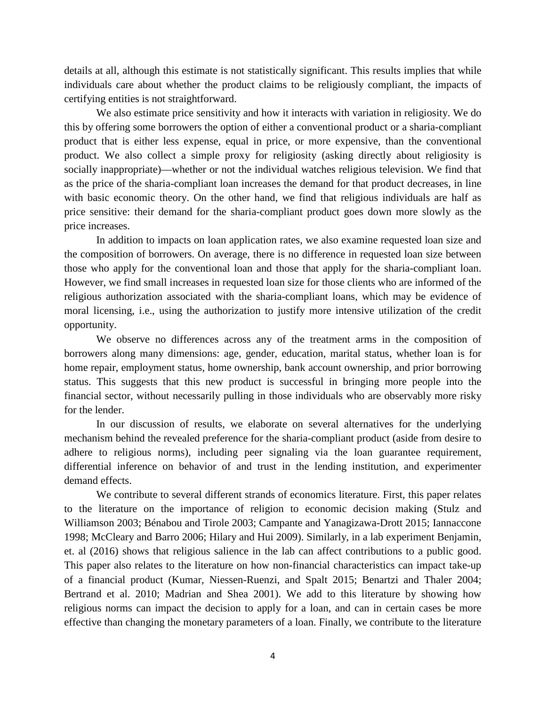details at all, although this estimate is not statistically significant. This results implies that while individuals care about whether the product claims to be religiously compliant, the impacts of certifying entities is not straightforward.

We also estimate price sensitivity and how it interacts with variation in religiosity. We do this by offering some borrowers the option of either a conventional product or a sharia-compliant product that is either less expense, equal in price, or more expensive, than the conventional product. We also collect a simple proxy for religiosity (asking directly about religiosity is socially inappropriate)—whether or not the individual watches religious television. We find that as the price of the sharia-compliant loan increases the demand for that product decreases, in line with basic economic theory. On the other hand, we find that religious individuals are half as price sensitive: their demand for the sharia-compliant product goes down more slowly as the price increases.

In addition to impacts on loan application rates, we also examine requested loan size and the composition of borrowers. On average, there is no difference in requested loan size between those who apply for the conventional loan and those that apply for the sharia-compliant loan. However, we find small increases in requested loan size for those clients who are informed of the religious authorization associated with the sharia-compliant loans, which may be evidence of moral licensing, i.e., using the authorization to justify more intensive utilization of the credit opportunity.

We observe no differences across any of the treatment arms in the composition of borrowers along many dimensions: age, gender, education, marital status, whether loan is for home repair, employment status, home ownership, bank account ownership, and prior borrowing status. This suggests that this new product is successful in bringing more people into the financial sector, without necessarily pulling in those individuals who are observably more risky for the lender.

In our discussion of results, we elaborate on several alternatives for the underlying mechanism behind the revealed preference for the sharia-compliant product (aside from desire to adhere to religious norms), including peer signaling via the loan guarantee requirement, differential inference on behavior of and trust in the lending institution, and experimenter demand effects.

We contribute to several different strands of economics literature. First, this paper relates to the literature on the importance of religion to economic decision making (Stulz and Williamson 2003; Bénabou and Tirole 2003; Campante and Yanagizawa-Drott 2015; Iannaccone 1998; McCleary and Barro 2006; Hilary and Hui 2009). Similarly, in a lab experiment Benjamin, et. al (2016) shows that religious salience in the lab can affect contributions to a public good. This paper also relates to the literature on how non-financial characteristics can impact take-up of a financial product (Kumar, Niessen-Ruenzi, and Spalt 2015; Benartzi and Thaler 2004; Bertrand et al. 2010; Madrian and Shea 2001). We add to this literature by showing how religious norms can impact the decision to apply for a loan, and can in certain cases be more effective than changing the monetary parameters of a loan. Finally, we contribute to the literature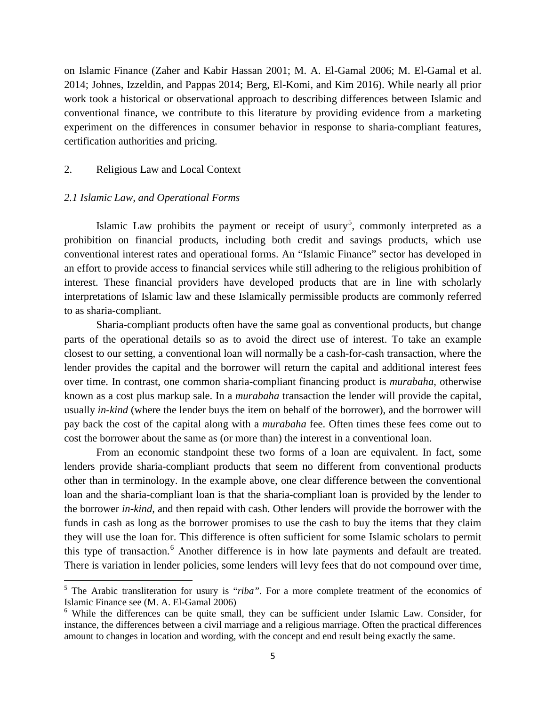on Islamic Finance (Zaher and Kabir Hassan 2001; M. A. El-Gamal 2006; M. El-Gamal et al. 2014; Johnes, Izzeldin, and Pappas 2014; Berg, El-Komi, and Kim 2016). While nearly all prior work took a historical or observational approach to describing differences between Islamic and conventional finance, we contribute to this literature by providing evidence from a marketing experiment on the differences in consumer behavior in response to sharia-compliant features, certification authorities and pricing.

#### 2. Religious Law and Local Context

#### *2.1 Islamic Law, and Operational Forms*

l

Islamic Law prohibits the payment or receipt of usury<sup>[5](#page-4-0)</sup>, commonly interpreted as a prohibition on financial products, including both credit and savings products, which use conventional interest rates and operational forms. An "Islamic Finance" sector has developed in an effort to provide access to financial services while still adhering to the religious prohibition of interest. These financial providers have developed products that are in line with scholarly interpretations of Islamic law and these Islamically permissible products are commonly referred to as sharia-compliant.

Sharia-compliant products often have the same goal as conventional products, but change parts of the operational details so as to avoid the direct use of interest. To take an example closest to our setting, a conventional loan will normally be a cash-for-cash transaction, where the lender provides the capital and the borrower will return the capital and additional interest fees over time. In contrast, one common sharia-compliant financing product is *murabaha*, otherwise known as a cost plus markup sale. In a *murabaha* transaction the lender will provide the capital, usually *in-kind* (where the lender buys the item on behalf of the borrower), and the borrower will pay back the cost of the capital along with a *murabaha* fee. Often times these fees come out to cost the borrower about the same as (or more than) the interest in a conventional loan.

From an economic standpoint these two forms of a loan are equivalent. In fact, some lenders provide sharia-compliant products that seem no different from conventional products other than in terminology. In the example above, one clear difference between the conventional loan and the sharia-compliant loan is that the sharia-compliant loan is provided by the lender to the borrower *in-kind*, and then repaid with cash. Other lenders will provide the borrower with the funds in cash as long as the borrower promises to use the cash to buy the items that they claim they will use the loan for. This difference is often sufficient for some Islamic scholars to permit this type of transaction.<sup>[6](#page-4-1)</sup> Another difference is in how late payments and default are treated. There is variation in lender policies, some lenders will levy fees that do not compound over time,

<span id="page-4-0"></span><sup>&</sup>lt;sup>5</sup> The Arabic transliteration for usury is "*riba*". For a more complete treatment of the economics of Islamic Finance see (M. A. El-Gamal 2006)

<span id="page-4-1"></span><sup>&</sup>lt;sup>6</sup> While the differences can be quite small, they can be sufficient under Islamic Law. Consider, for instance, the differences between a civil marriage and a religious marriage. Often the practical differences amount to changes in location and wording, with the concept and end result being exactly the same.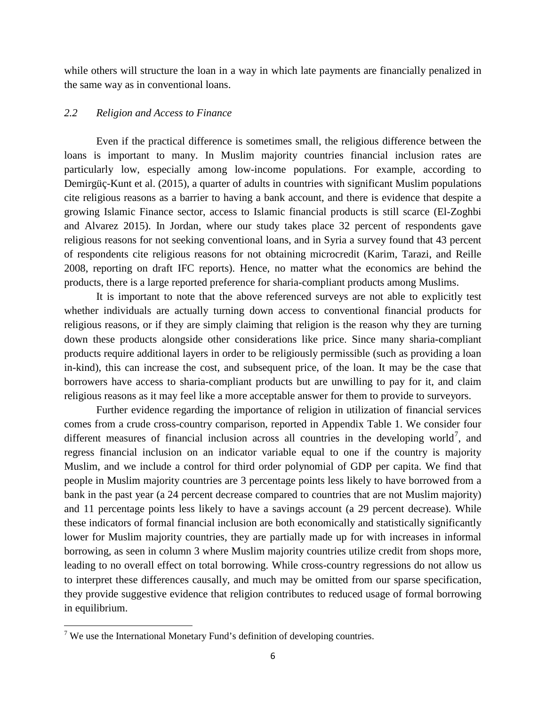while others will structure the loan in a way in which late payments are financially penalized in the same way as in conventional loans.

## *2.2 Religion and Access to Finance*

Even if the practical difference is sometimes small, the religious difference between the loans is important to many. In Muslim majority countries financial inclusion rates are particularly low, especially among low-income populations. For example, according to Demirgüç-Kunt et al. (2015), a quarter of adults in countries with significant Muslim populations cite religious reasons as a barrier to having a bank account, and there is evidence that despite a growing Islamic Finance sector, access to Islamic financial products is still scarce (El-Zoghbi and Alvarez 2015). In Jordan, where our study takes place 32 percent of respondents gave religious reasons for not seeking conventional loans, and in Syria a survey found that 43 percent of respondents cite religious reasons for not obtaining microcredit (Karim, Tarazi, and Reille 2008, reporting on draft IFC reports). Hence, no matter what the economics are behind the products, there is a large reported preference for sharia-compliant products among Muslims.

It is important to note that the above referenced surveys are not able to explicitly test whether individuals are actually turning down access to conventional financial products for religious reasons, or if they are simply claiming that religion is the reason why they are turning down these products alongside other considerations like price. Since many sharia-compliant products require additional layers in order to be religiously permissible (such as providing a loan in-kind), this can increase the cost, and subsequent price, of the loan. It may be the case that borrowers have access to sharia-compliant products but are unwilling to pay for it, and claim religious reasons as it may feel like a more acceptable answer for them to provide to surveyors.

Further evidence regarding the importance of religion in utilization of financial services comes from a crude cross-country comparison, reported in Appendix Table 1. We consider four different measures of financial inclusion across all countries in the developing world<sup>[7](#page-5-0)</sup>, and regress financial inclusion on an indicator variable equal to one if the country is majority Muslim, and we include a control for third order polynomial of GDP per capita. We find that people in Muslim majority countries are 3 percentage points less likely to have borrowed from a bank in the past year (a 24 percent decrease compared to countries that are not Muslim majority) and 11 percentage points less likely to have a savings account (a 29 percent decrease). While these indicators of formal financial inclusion are both economically and statistically significantly lower for Muslim majority countries, they are partially made up for with increases in informal borrowing, as seen in column 3 where Muslim majority countries utilize credit from shops more, leading to no overall effect on total borrowing. While cross-country regressions do not allow us to interpret these differences causally, and much may be omitted from our sparse specification, they provide suggestive evidence that religion contributes to reduced usage of formal borrowing in equilibrium.

l

<span id="page-5-0"></span> $7$  We use the International Monetary Fund's definition of developing countries.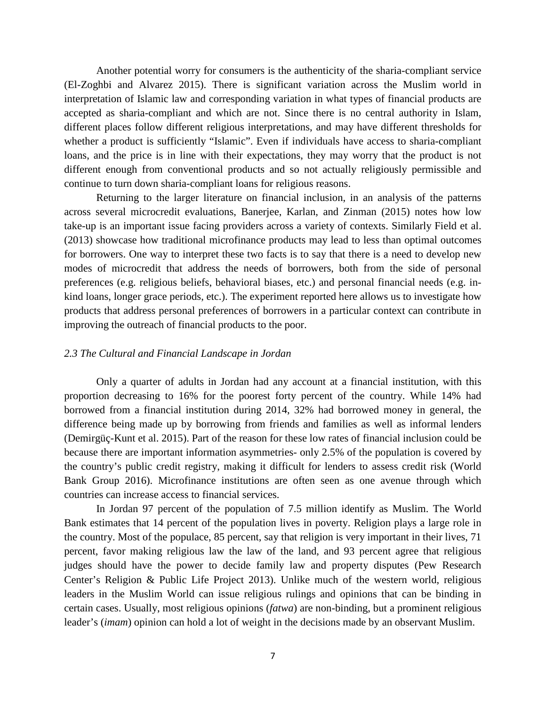Another potential worry for consumers is the authenticity of the sharia-compliant service (El-Zoghbi and Alvarez 2015). There is significant variation across the Muslim world in interpretation of Islamic law and corresponding variation in what types of financial products are accepted as sharia-compliant and which are not. Since there is no central authority in Islam, different places follow different religious interpretations, and may have different thresholds for whether a product is sufficiently "Islamic". Even if individuals have access to sharia-compliant loans, and the price is in line with their expectations, they may worry that the product is not different enough from conventional products and so not actually religiously permissible and continue to turn down sharia-compliant loans for religious reasons.

Returning to the larger literature on financial inclusion, in an analysis of the patterns across several microcredit evaluations, Banerjee, Karlan, and Zinman (2015) notes how low take-up is an important issue facing providers across a variety of contexts. Similarly Field et al. (2013) showcase how traditional microfinance products may lead to less than optimal outcomes for borrowers. One way to interpret these two facts is to say that there is a need to develop new modes of microcredit that address the needs of borrowers, both from the side of personal preferences (e.g. religious beliefs, behavioral biases, etc.) and personal financial needs (e.g. inkind loans, longer grace periods, etc.). The experiment reported here allows us to investigate how products that address personal preferences of borrowers in a particular context can contribute in improving the outreach of financial products to the poor.

#### *2.3 The Cultural and Financial Landscape in Jordan*

Only a quarter of adults in Jordan had any account at a financial institution, with this proportion decreasing to 16% for the poorest forty percent of the country. While 14% had borrowed from a financial institution during 2014, 32% had borrowed money in general, the difference being made up by borrowing from friends and families as well as informal lenders (Demirgüç-Kunt et al. 2015). Part of the reason for these low rates of financial inclusion could be because there are important information asymmetries- only 2.5% of the population is covered by the country's public credit registry, making it difficult for lenders to assess credit risk (World Bank Group 2016). Microfinance institutions are often seen as one avenue through which countries can increase access to financial services.

In Jordan 97 percent of the population of 7.5 million identify as Muslim. The World Bank estimates that 14 percent of the population lives in poverty. Religion plays a large role in the country. Most of the populace, 85 percent, say that religion is very important in their lives, 71 percent, favor making religious law the law of the land, and 93 percent agree that religious judges should have the power to decide family law and property disputes (Pew Research Center's Religion & Public Life Project 2013). Unlike much of the western world, religious leaders in the Muslim World can issue religious rulings and opinions that can be binding in certain cases. Usually, most religious opinions (*fatwa*) are non-binding, but a prominent religious leader's (*imam*) opinion can hold a lot of weight in the decisions made by an observant Muslim.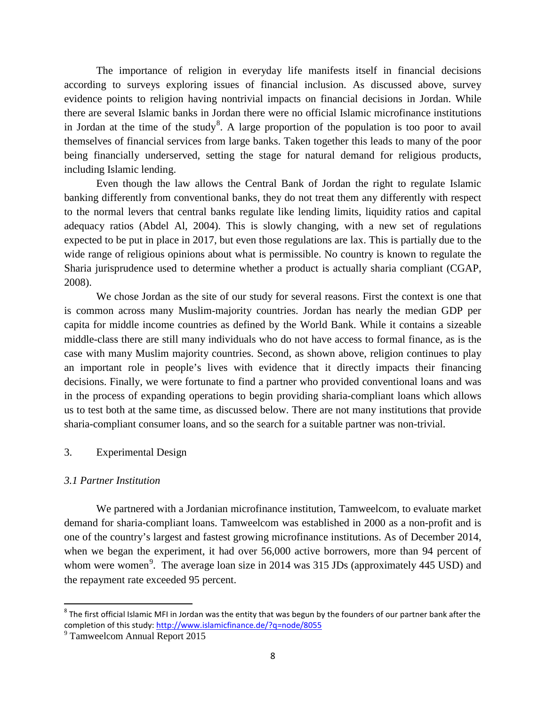The importance of religion in everyday life manifests itself in financial decisions according to surveys exploring issues of financial inclusion. As discussed above, survey evidence points to religion having nontrivial impacts on financial decisions in Jordan. While there are several Islamic banks in Jordan there were no official Islamic microfinance institutions in Jordan at the time of the study<sup>[8](#page-7-0)</sup>. A large proportion of the population is too poor to avail themselves of financial services from large banks. Taken together this leads to many of the poor being financially underserved, setting the stage for natural demand for religious products, including Islamic lending.

Even though the law allows the Central Bank of Jordan the right to regulate Islamic banking differently from conventional banks, they do not treat them any differently with respect to the normal levers that central banks regulate like lending limits, liquidity ratios and capital adequacy ratios (Abdel Al, 2004). This is slowly changing, with a new set of regulations expected to be put in place in 2017, but even those regulations are lax. This is partially due to the wide range of religious opinions about what is permissible. No country is known to regulate the Sharia jurisprudence used to determine whether a product is actually sharia compliant (CGAP, 2008).

We chose Jordan as the site of our study for several reasons. First the context is one that is common across many Muslim-majority countries. Jordan has nearly the median GDP per capita for middle income countries as defined by the World Bank. While it contains a sizeable middle-class there are still many individuals who do not have access to formal finance, as is the case with many Muslim majority countries. Second, as shown above, religion continues to play an important role in people's lives with evidence that it directly impacts their financing decisions. Finally, we were fortunate to find a partner who provided conventional loans and was in the process of expanding operations to begin providing sharia-compliant loans which allows us to test both at the same time, as discussed below. There are not many institutions that provide sharia-compliant consumer loans, and so the search for a suitable partner was non-trivial.

### 3. Experimental Design

### *3.1 Partner Institution*

We partnered with a Jordanian microfinance institution, Tamweelcom, to evaluate market demand for sharia-compliant loans. Tamweelcom was established in 2000 as a non-profit and is one of the country's largest and fastest growing microfinance institutions. As of December 2014, when we began the experiment, it had over 56,000 active borrowers, more than 94 percent of whom were women<sup>[9](#page-7-1)</sup>. The average loan size in 2014 was 315 JDs (approximately 445 USD) and the repayment rate exceeded 95 percent.

<span id="page-7-0"></span> $8$  The first official Islamic MFI in Jordan was the entity that was begun by the founders of our partner bank after the completion of this study: <u>http://www.islamicfinance.de/?q=node/8055</u>

<span id="page-7-1"></span><sup>&</sup>lt;sup>9</sup> Tamweelcom Annual Report 2015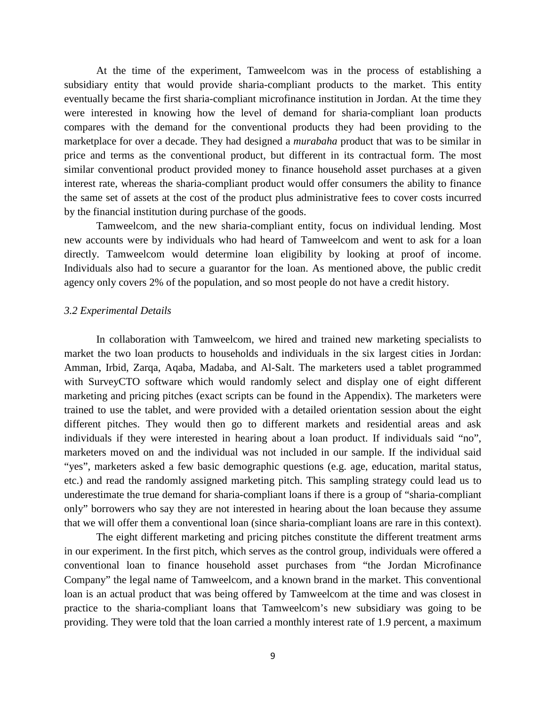At the time of the experiment, Tamweelcom was in the process of establishing a subsidiary entity that would provide sharia-compliant products to the market. This entity eventually became the first sharia-compliant microfinance institution in Jordan. At the time they were interested in knowing how the level of demand for sharia-compliant loan products compares with the demand for the conventional products they had been providing to the marketplace for over a decade. They had designed a *murabaha* product that was to be similar in price and terms as the conventional product, but different in its contractual form. The most similar conventional product provided money to finance household asset purchases at a given interest rate, whereas the sharia-compliant product would offer consumers the ability to finance the same set of assets at the cost of the product plus administrative fees to cover costs incurred by the financial institution during purchase of the goods.

Tamweelcom, and the new sharia-compliant entity, focus on individual lending. Most new accounts were by individuals who had heard of Tamweelcom and went to ask for a loan directly. Tamweelcom would determine loan eligibility by looking at proof of income. Individuals also had to secure a guarantor for the loan. As mentioned above, the public credit agency only covers 2% of the population, and so most people do not have a credit history.

#### *3.2 Experimental Details*

In collaboration with Tamweelcom, we hired and trained new marketing specialists to market the two loan products to households and individuals in the six largest cities in Jordan: Amman, Irbid, Zarqa, Aqaba, Madaba, and Al-Salt. The marketers used a tablet programmed with SurveyCTO software which would randomly select and display one of eight different marketing and pricing pitches (exact scripts can be found in the Appendix). The marketers were trained to use the tablet, and were provided with a detailed orientation session about the eight different pitches. They would then go to different markets and residential areas and ask individuals if they were interested in hearing about a loan product. If individuals said "no", marketers moved on and the individual was not included in our sample. If the individual said "yes", marketers asked a few basic demographic questions (e.g. age, education, marital status, etc.) and read the randomly assigned marketing pitch. This sampling strategy could lead us to underestimate the true demand for sharia-compliant loans if there is a group of "sharia-compliant only" borrowers who say they are not interested in hearing about the loan because they assume that we will offer them a conventional loan (since sharia-compliant loans are rare in this context).

The eight different marketing and pricing pitches constitute the different treatment arms in our experiment. In the first pitch, which serves as the control group, individuals were offered a conventional loan to finance household asset purchases from "the Jordan Microfinance Company" the legal name of Tamweelcom, and a known brand in the market. This conventional loan is an actual product that was being offered by Tamweelcom at the time and was closest in practice to the sharia-compliant loans that Tamweelcom's new subsidiary was going to be providing. They were told that the loan carried a monthly interest rate of 1.9 percent, a maximum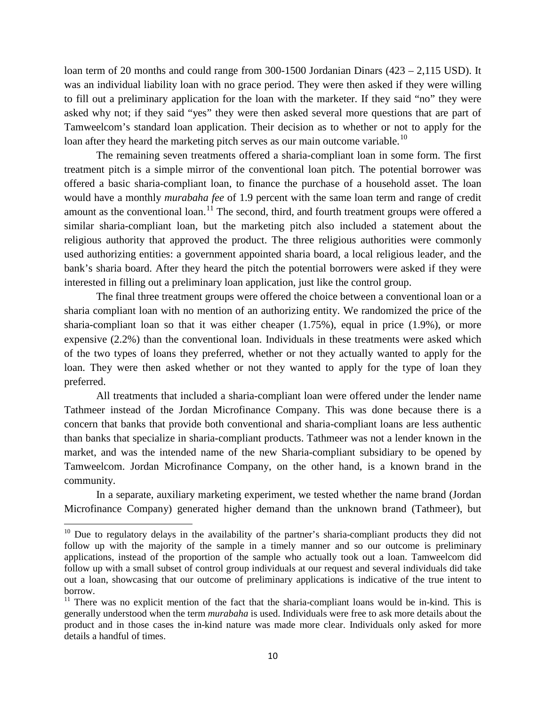loan term of 20 months and could range from 300-1500 Jordanian Dinars (423 – 2,115 USD). It was an individual liability loan with no grace period. They were then asked if they were willing to fill out a preliminary application for the loan with the marketer. If they said "no" they were asked why not; if they said "yes" they were then asked several more questions that are part of Tamweelcom's standard loan application. Their decision as to whether or not to apply for the loan after they heard the marketing pitch serves as our main outcome variable.<sup>[10](#page-9-0)</sup>

The remaining seven treatments offered a sharia-compliant loan in some form. The first treatment pitch is a simple mirror of the conventional loan pitch. The potential borrower was offered a basic sharia-compliant loan, to finance the purchase of a household asset. The loan would have a monthly *murabaha fee* of 1.9 percent with the same loan term and range of credit amount as the conventional loan.<sup>[11](#page-9-1)</sup> The second, third, and fourth treatment groups were offered a similar sharia-compliant loan, but the marketing pitch also included a statement about the religious authority that approved the product. The three religious authorities were commonly used authorizing entities: a government appointed sharia board, a local religious leader, and the bank's sharia board. After they heard the pitch the potential borrowers were asked if they were interested in filling out a preliminary loan application, just like the control group.

The final three treatment groups were offered the choice between a conventional loan or a sharia compliant loan with no mention of an authorizing entity. We randomized the price of the sharia-compliant loan so that it was either cheaper (1.75%), equal in price (1.9%), or more expensive (2.2%) than the conventional loan. Individuals in these treatments were asked which of the two types of loans they preferred, whether or not they actually wanted to apply for the loan. They were then asked whether or not they wanted to apply for the type of loan they preferred.

All treatments that included a sharia-compliant loan were offered under the lender name Tathmeer instead of the Jordan Microfinance Company. This was done because there is a concern that banks that provide both conventional and sharia-compliant loans are less authentic than banks that specialize in sharia-compliant products. Tathmeer was not a lender known in the market, and was the intended name of the new Sharia-compliant subsidiary to be opened by Tamweelcom. Jordan Microfinance Company, on the other hand, is a known brand in the community.

In a separate, auxiliary marketing experiment, we tested whether the name brand (Jordan Microfinance Company) generated higher demand than the unknown brand (Tathmeer), but

 $\overline{\phantom{a}}$ 

<span id="page-9-0"></span><sup>&</sup>lt;sup>10</sup> Due to regulatory delays in the availability of the partner's sharia-compliant products they did not follow up with the majority of the sample in a timely manner and so our outcome is preliminary applications, instead of the proportion of the sample who actually took out a loan. Tamweelcom did follow up with a small subset of control group individuals at our request and several individuals did take out a loan, showcasing that our outcome of preliminary applications is indicative of the true intent to borrow.

<span id="page-9-1"></span> $11$  There was no explicit mention of the fact that the sharia-compliant loans would be in-kind. This is generally understood when the term *murabaha* is used. Individuals were free to ask more details about the product and in those cases the in-kind nature was made more clear. Individuals only asked for more details a handful of times.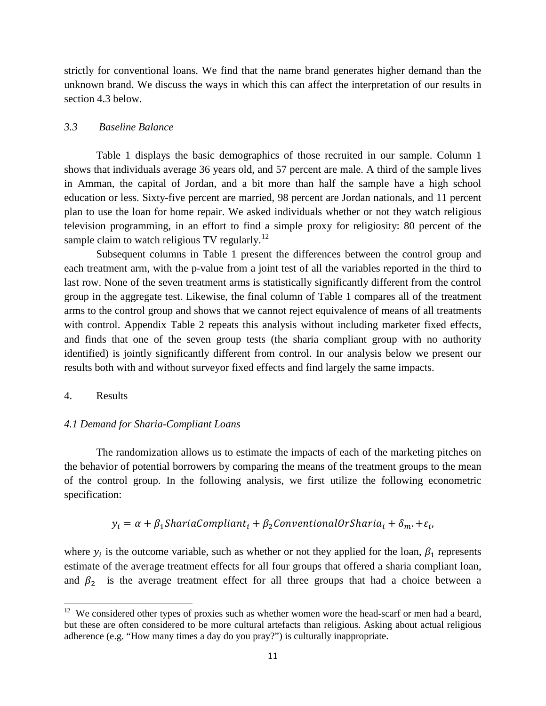strictly for conventional loans. We find that the name brand generates higher demand than the unknown brand. We discuss the ways in which this can affect the interpretation of our results in section 4.3 below.

#### *3.3 Baseline Balance*

Table 1 displays the basic demographics of those recruited in our sample. Column 1 shows that individuals average 36 years old, and 57 percent are male. A third of the sample lives in Amman, the capital of Jordan, and a bit more than half the sample have a high school education or less. Sixty-five percent are married, 98 percent are Jordan nationals, and 11 percent plan to use the loan for home repair. We asked individuals whether or not they watch religious television programming, in an effort to find a simple proxy for religiosity: 80 percent of the sample claim to watch religious TV regularly.<sup>[12](#page-10-0)</sup>

Subsequent columns in Table 1 present the differences between the control group and each treatment arm, with the p-value from a joint test of all the variables reported in the third to last row. None of the seven treatment arms is statistically significantly different from the control group in the aggregate test. Likewise, the final column of Table 1 compares all of the treatment arms to the control group and shows that we cannot reject equivalence of means of all treatments with control. Appendix Table 2 repeats this analysis without including marketer fixed effects, and finds that one of the seven group tests (the sharia compliant group with no authority identified) is jointly significantly different from control. In our analysis below we present our results both with and without surveyor fixed effects and find largely the same impacts.

#### 4. Results

 $\overline{\phantom{a}}$ 

#### *4.1 Demand for Sharia-Compliant Loans*

The randomization allows us to estimate the impacts of each of the marketing pitches on the behavior of potential borrowers by comparing the means of the treatment groups to the mean of the control group. In the following analysis, we first utilize the following econometric specification:

# $y_i = \alpha + \beta_1$ ShariaCompliant<sub>i</sub> +  $\beta_2$ ConventionalOrSharia<sub>i</sub> +  $\delta_m$ . +  $\varepsilon_i$ ,

where  $y_i$  is the outcome variable, such as whether or not they applied for the loan,  $\beta_1$  represents estimate of the average treatment effects for all four groups that offered a sharia compliant loan, and  $\beta_2$  is the average treatment effect for all three groups that had a choice between a

<span id="page-10-0"></span> $12$  We considered other types of proxies such as whether women wore the head-scarf or men had a beard, but these are often considered to be more cultural artefacts than religious. Asking about actual religious adherence (e.g. "How many times a day do you pray?") is culturally inappropriate.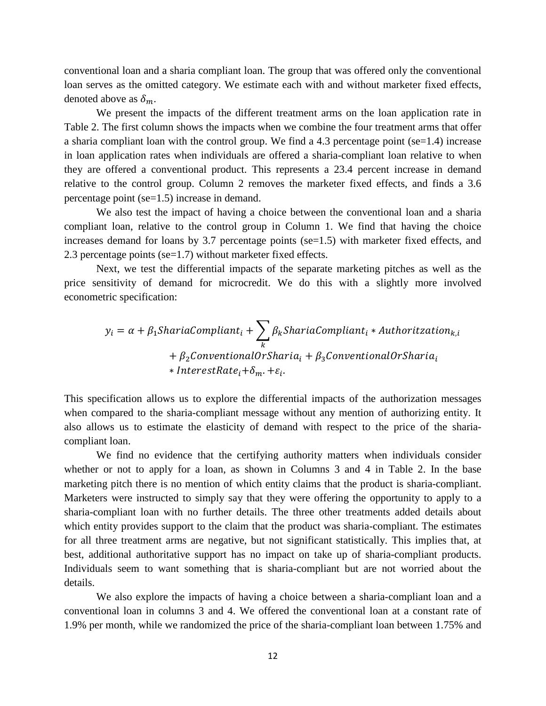conventional loan and a sharia compliant loan. The group that was offered only the conventional loan serves as the omitted category. We estimate each with and without marketer fixed effects, denoted above as  $\delta_m$ .

We present the impacts of the different treatment arms on the loan application rate in Table 2. The first column shows the impacts when we combine the four treatment arms that offer a sharia compliant loan with the control group. We find a 4.3 percentage point (se=1.4) increase in loan application rates when individuals are offered a sharia-compliant loan relative to when they are offered a conventional product. This represents a 23.4 percent increase in demand relative to the control group. Column 2 removes the marketer fixed effects, and finds a 3.6 percentage point (se=1.5) increase in demand.

We also test the impact of having a choice between the conventional loan and a sharia compliant loan, relative to the control group in Column 1. We find that having the choice increases demand for loans by 3.7 percentage points (se=1.5) with marketer fixed effects, and 2.3 percentage points (se=1.7) without marketer fixed effects.

Next, we test the differential impacts of the separate marketing pitches as well as the price sensitivity of demand for microcredit. We do this with a slightly more involved econometric specification:

$$
y_i = \alpha + \beta_1 \text{ShariaCompliant}_i + \sum_k \beta_k \text{ShariaCompliant}_i * \text{Authorizontal}_{k,i}
$$

$$
+ \beta_2 \text{ConventionalOrSharia}_i + \beta_3 \text{ConventionalOrSharia}_i
$$

$$
* \text{InterestRate}_i + \delta_m \cdot + \varepsilon_i.
$$

This specification allows us to explore the differential impacts of the authorization messages when compared to the sharia-compliant message without any mention of authorizing entity. It also allows us to estimate the elasticity of demand with respect to the price of the shariacompliant loan.

We find no evidence that the certifying authority matters when individuals consider whether or not to apply for a loan, as shown in Columns 3 and 4 in Table 2. In the base marketing pitch there is no mention of which entity claims that the product is sharia-compliant. Marketers were instructed to simply say that they were offering the opportunity to apply to a sharia-compliant loan with no further details. The three other treatments added details about which entity provides support to the claim that the product was sharia-compliant. The estimates for all three treatment arms are negative, but not significant statistically. This implies that, at best, additional authoritative support has no impact on take up of sharia-compliant products. Individuals seem to want something that is sharia-compliant but are not worried about the details.

We also explore the impacts of having a choice between a sharia-compliant loan and a conventional loan in columns 3 and 4. We offered the conventional loan at a constant rate of 1.9% per month, while we randomized the price of the sharia-compliant loan between 1.75% and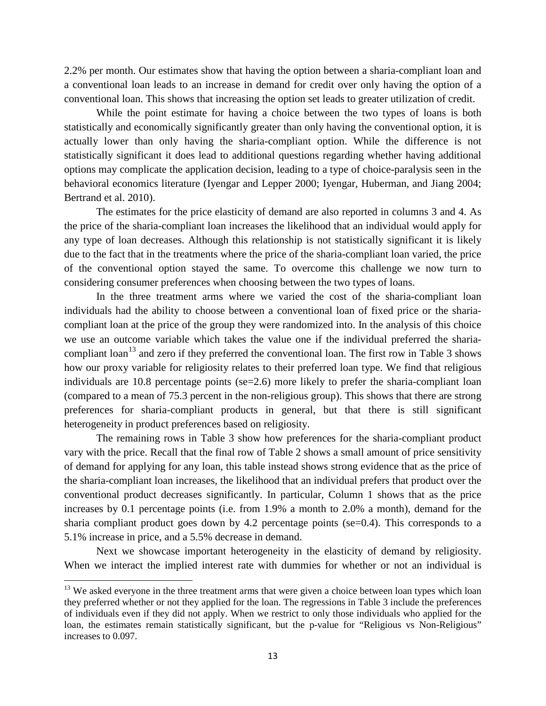2.2% per month. Our estimates show that having the option between a sharia-compliant loan and a conventional loan leads to an increase in demand for credit over only having the option of a conventional loan. This shows that increasing the option set leads to greater utilization of credit.

While the point estimate for having a choice between the two types of loans is both statistically and economically significantly greater than only having the conventional option, it is actually lower than only having the sharia-compliant option. While the difference is not statistically significant it does lead to additional questions regarding whether having additional options may complicate the application decision, leading to a type of choice-paralysis seen in the behavioral economics literature (Iyengar and Lepper 2000; Iyengar, Huberman, and Jiang 2004; Bertrand et al. 2010).

The estimates for the price elasticity of demand are also reported in columns 3 and 4. As the price of the sharia-compliant loan increases the likelihood that an individual would apply for any type of loan decreases. Although this relationship is not statistically significant it is likely due to the fact that in the treatments where the price of the sharia-compliant loan varied, the price of the conventional option stayed the same. To overcome this challenge we now turn to considering consumer preferences when choosing between the two types of loans.

In the three treatment arms where we varied the cost of the sharia-compliant loan individuals had the ability to choose between a conventional loan of fixed price or the shariacompliant loan at the price of the group they were randomized into. In the analysis of this choice we use an outcome variable which takes the value one if the individual preferred the sharia-compliant loan<sup>[13](#page-12-0)</sup> and zero if they preferred the conventional loan. The first row in Table 3 shows how our proxy variable for religiosity relates to their preferred loan type. We find that religious individuals are 10.8 percentage points (se=2.6) more likely to prefer the sharia-compliant loan (compared to a mean of 75.3 percent in the non-religious group). This shows that there are strong preferences for sharia-compliant products in general, but that there is still significant heterogeneity in product preferences based on religiosity.

The remaining rows in Table 3 show how preferences for the sharia-compliant product vary with the price. Recall that the final row of Table 2 shows a small amount of price sensitivity of demand for applying for any loan, this table instead shows strong evidence that as the price of the sharia-compliant loan increases, the likelihood that an individual prefers that product over the conventional product decreases significantly. In particular, Column 1 shows that as the price increases by 0.1 percentage points (i.e. from 1.9% a month to 2.0% a month), demand for the sharia compliant product goes down by 4.2 percentage points (se=0.4). This corresponds to a 5.1% increase in price, and a 5.5% decrease in demand.

Next we showcase important heterogeneity in the elasticity of demand by religiosity. When we interact the implied interest rate with dummies for whether or not an individual is

l

<span id="page-12-0"></span><sup>&</sup>lt;sup>13</sup> We asked everyone in the three treatment arms that were given a choice between loan types which loan they preferred whether or not they applied for the loan. The regressions in Table 3 include the preferences of individuals even if they did not apply. When we restrict to only those individuals who applied for the loan, the estimates remain statistically significant, but the p-value for "Religious vs Non-Religious" increases to 0.097.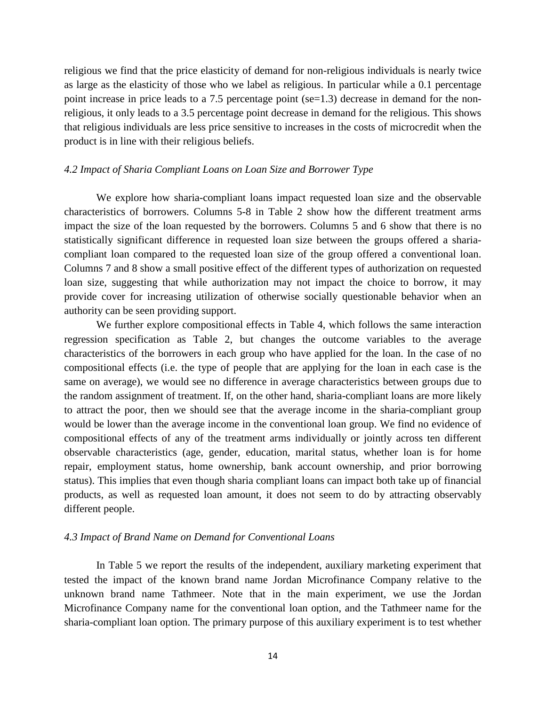religious we find that the price elasticity of demand for non-religious individuals is nearly twice as large as the elasticity of those who we label as religious. In particular while a 0.1 percentage point increase in price leads to a 7.5 percentage point ( $se=1.3$ ) decrease in demand for the nonreligious, it only leads to a 3.5 percentage point decrease in demand for the religious. This shows that religious individuals are less price sensitive to increases in the costs of microcredit when the product is in line with their religious beliefs.

#### *4.2 Impact of Sharia Compliant Loans on Loan Size and Borrower Type*

We explore how sharia-compliant loans impact requested loan size and the observable characteristics of borrowers. Columns 5-8 in Table 2 show how the different treatment arms impact the size of the loan requested by the borrowers. Columns 5 and 6 show that there is no statistically significant difference in requested loan size between the groups offered a shariacompliant loan compared to the requested loan size of the group offered a conventional loan. Columns 7 and 8 show a small positive effect of the different types of authorization on requested loan size, suggesting that while authorization may not impact the choice to borrow, it may provide cover for increasing utilization of otherwise socially questionable behavior when an authority can be seen providing support.

We further explore compositional effects in Table 4, which follows the same interaction regression specification as Table 2, but changes the outcome variables to the average characteristics of the borrowers in each group who have applied for the loan. In the case of no compositional effects (i.e. the type of people that are applying for the loan in each case is the same on average), we would see no difference in average characteristics between groups due to the random assignment of treatment. If, on the other hand, sharia-compliant loans are more likely to attract the poor, then we should see that the average income in the sharia-compliant group would be lower than the average income in the conventional loan group. We find no evidence of compositional effects of any of the treatment arms individually or jointly across ten different observable characteristics (age, gender, education, marital status, whether loan is for home repair, employment status, home ownership, bank account ownership, and prior borrowing status). This implies that even though sharia compliant loans can impact both take up of financial products, as well as requested loan amount, it does not seem to do by attracting observably different people.

#### *4.3 Impact of Brand Name on Demand for Conventional Loans*

In Table 5 we report the results of the independent, auxiliary marketing experiment that tested the impact of the known brand name Jordan Microfinance Company relative to the unknown brand name Tathmeer. Note that in the main experiment, we use the Jordan Microfinance Company name for the conventional loan option, and the Tathmeer name for the sharia-compliant loan option. The primary purpose of this auxiliary experiment is to test whether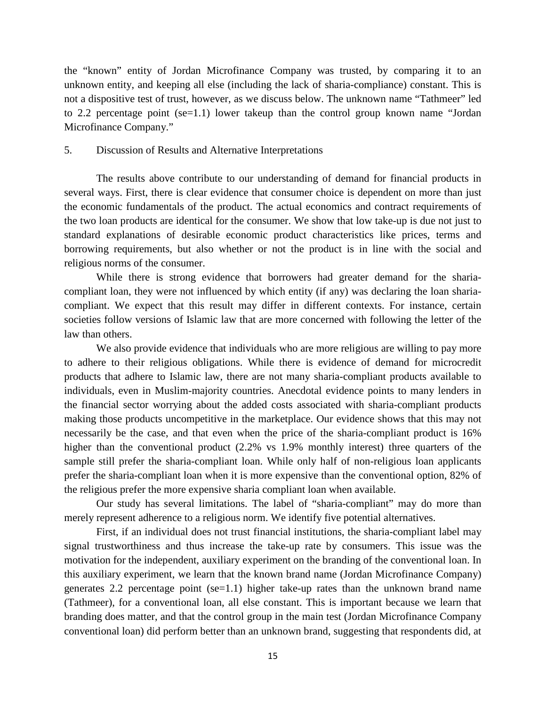the "known" entity of Jordan Microfinance Company was trusted, by comparing it to an unknown entity, and keeping all else (including the lack of sharia-compliance) constant. This is not a dispositive test of trust, however, as we discuss below. The unknown name "Tathmeer" led to 2.2 percentage point (se=1.1) lower takeup than the control group known name "Jordan Microfinance Company."

#### 5. Discussion of Results and Alternative Interpretations

The results above contribute to our understanding of demand for financial products in several ways. First, there is clear evidence that consumer choice is dependent on more than just the economic fundamentals of the product. The actual economics and contract requirements of the two loan products are identical for the consumer. We show that low take-up is due not just to standard explanations of desirable economic product characteristics like prices, terms and borrowing requirements, but also whether or not the product is in line with the social and religious norms of the consumer.

While there is strong evidence that borrowers had greater demand for the shariacompliant loan, they were not influenced by which entity (if any) was declaring the loan shariacompliant. We expect that this result may differ in different contexts. For instance, certain societies follow versions of Islamic law that are more concerned with following the letter of the law than others.

We also provide evidence that individuals who are more religious are willing to pay more to adhere to their religious obligations. While there is evidence of demand for microcredit products that adhere to Islamic law, there are not many sharia-compliant products available to individuals, even in Muslim-majority countries. Anecdotal evidence points to many lenders in the financial sector worrying about the added costs associated with sharia-compliant products making those products uncompetitive in the marketplace. Our evidence shows that this may not necessarily be the case, and that even when the price of the sharia-compliant product is 16% higher than the conventional product (2.2% vs 1.9% monthly interest) three quarters of the sample still prefer the sharia-compliant loan. While only half of non-religious loan applicants prefer the sharia-compliant loan when it is more expensive than the conventional option, 82% of the religious prefer the more expensive sharia compliant loan when available.

Our study has several limitations. The label of "sharia-compliant" may do more than merely represent adherence to a religious norm. We identify five potential alternatives.

First, if an individual does not trust financial institutions, the sharia-compliant label may signal trustworthiness and thus increase the take-up rate by consumers. This issue was the motivation for the independent, auxiliary experiment on the branding of the conventional loan. In this auxiliary experiment, we learn that the known brand name (Jordan Microfinance Company) generates 2.2 percentage point (se=1.1) higher take-up rates than the unknown brand name (Tathmeer), for a conventional loan, all else constant. This is important because we learn that branding does matter, and that the control group in the main test (Jordan Microfinance Company conventional loan) did perform better than an unknown brand, suggesting that respondents did, at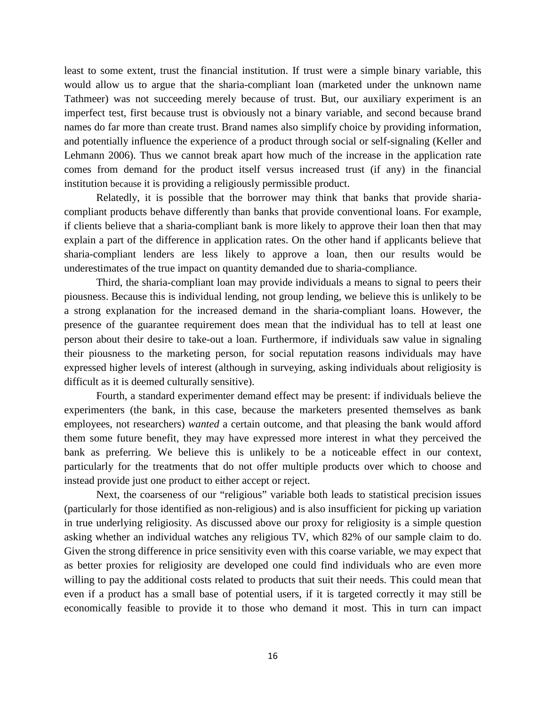least to some extent, trust the financial institution. If trust were a simple binary variable, this would allow us to argue that the sharia-compliant loan (marketed under the unknown name Tathmeer) was not succeeding merely because of trust. But, our auxiliary experiment is an imperfect test, first because trust is obviously not a binary variable, and second because brand names do far more than create trust. Brand names also simplify choice by providing information, and potentially influence the experience of a product through social or self-signaling (Keller and Lehmann 2006). Thus we cannot break apart how much of the increase in the application rate comes from demand for the product itself versus increased trust (if any) in the financial institution because it is providing a religiously permissible product.

Relatedly, it is possible that the borrower may think that banks that provide shariacompliant products behave differently than banks that provide conventional loans. For example, if clients believe that a sharia-compliant bank is more likely to approve their loan then that may explain a part of the difference in application rates. On the other hand if applicants believe that sharia-compliant lenders are less likely to approve a loan, then our results would be underestimates of the true impact on quantity demanded due to sharia-compliance.

Third, the sharia-compliant loan may provide individuals a means to signal to peers their piousness. Because this is individual lending, not group lending, we believe this is unlikely to be a strong explanation for the increased demand in the sharia-compliant loans. However, the presence of the guarantee requirement does mean that the individual has to tell at least one person about their desire to take-out a loan. Furthermore, if individuals saw value in signaling their piousness to the marketing person, for social reputation reasons individuals may have expressed higher levels of interest (although in surveying, asking individuals about religiosity is difficult as it is deemed culturally sensitive).

Fourth, a standard experimenter demand effect may be present: if individuals believe the experimenters (the bank, in this case, because the marketers presented themselves as bank employees, not researchers) *wanted* a certain outcome, and that pleasing the bank would afford them some future benefit, they may have expressed more interest in what they perceived the bank as preferring. We believe this is unlikely to be a noticeable effect in our context, particularly for the treatments that do not offer multiple products over which to choose and instead provide just one product to either accept or reject.

Next, the coarseness of our "religious" variable both leads to statistical precision issues (particularly for those identified as non-religious) and is also insufficient for picking up variation in true underlying religiosity. As discussed above our proxy for religiosity is a simple question asking whether an individual watches any religious TV, which 82% of our sample claim to do. Given the strong difference in price sensitivity even with this coarse variable, we may expect that as better proxies for religiosity are developed one could find individuals who are even more willing to pay the additional costs related to products that suit their needs. This could mean that even if a product has a small base of potential users, if it is targeted correctly it may still be economically feasible to provide it to those who demand it most. This in turn can impact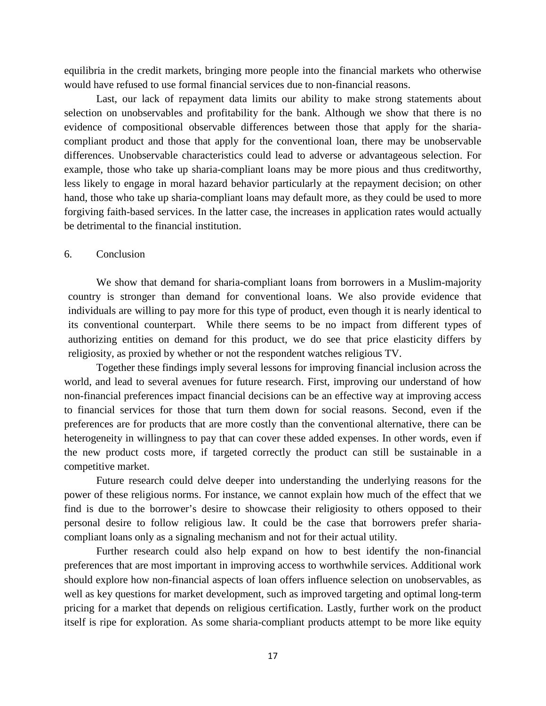equilibria in the credit markets, bringing more people into the financial markets who otherwise would have refused to use formal financial services due to non-financial reasons.

Last, our lack of repayment data limits our ability to make strong statements about selection on unobservables and profitability for the bank. Although we show that there is no evidence of compositional observable differences between those that apply for the shariacompliant product and those that apply for the conventional loan, there may be unobservable differences. Unobservable characteristics could lead to adverse or advantageous selection. For example, those who take up sharia-compliant loans may be more pious and thus creditworthy, less likely to engage in moral hazard behavior particularly at the repayment decision; on other hand, those who take up sharia-compliant loans may default more, as they could be used to more forgiving faith-based services. In the latter case, the increases in application rates would actually be detrimental to the financial institution.

#### 6. Conclusion

We show that demand for sharia-compliant loans from borrowers in a Muslim-majority country is stronger than demand for conventional loans. We also provide evidence that individuals are willing to pay more for this type of product, even though it is nearly identical to its conventional counterpart. While there seems to be no impact from different types of authorizing entities on demand for this product, we do see that price elasticity differs by religiosity, as proxied by whether or not the respondent watches religious TV.

Together these findings imply several lessons for improving financial inclusion across the world, and lead to several avenues for future research. First, improving our understand of how non-financial preferences impact financial decisions can be an effective way at improving access to financial services for those that turn them down for social reasons. Second, even if the preferences are for products that are more costly than the conventional alternative, there can be heterogeneity in willingness to pay that can cover these added expenses. In other words, even if the new product costs more, if targeted correctly the product can still be sustainable in a competitive market.

Future research could delve deeper into understanding the underlying reasons for the power of these religious norms. For instance, we cannot explain how much of the effect that we find is due to the borrower's desire to showcase their religiosity to others opposed to their personal desire to follow religious law. It could be the case that borrowers prefer shariacompliant loans only as a signaling mechanism and not for their actual utility.

Further research could also help expand on how to best identify the non-financial preferences that are most important in improving access to worthwhile services. Additional work should explore how non-financial aspects of loan offers influence selection on unobservables, as well as key questions for market development, such as improved targeting and optimal long-term pricing for a market that depends on religious certification. Lastly, further work on the product itself is ripe for exploration. As some sharia-compliant products attempt to be more like equity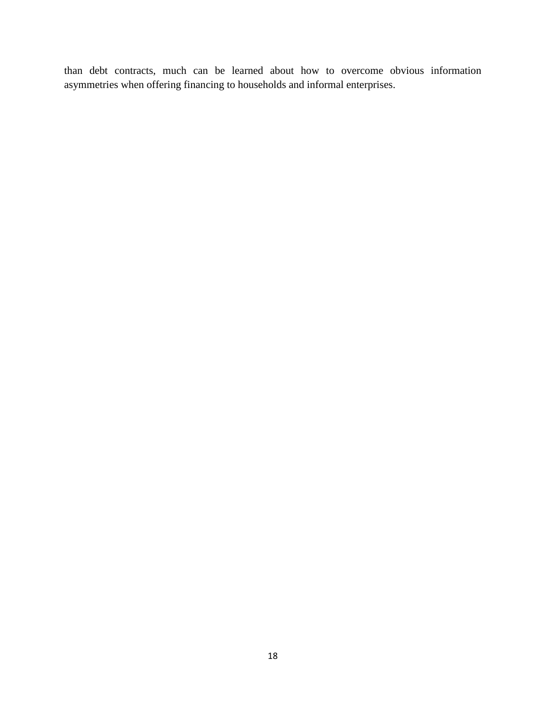than debt contracts, much can be learned about how to overcome obvious information asymmetries when offering financing to households and informal enterprises.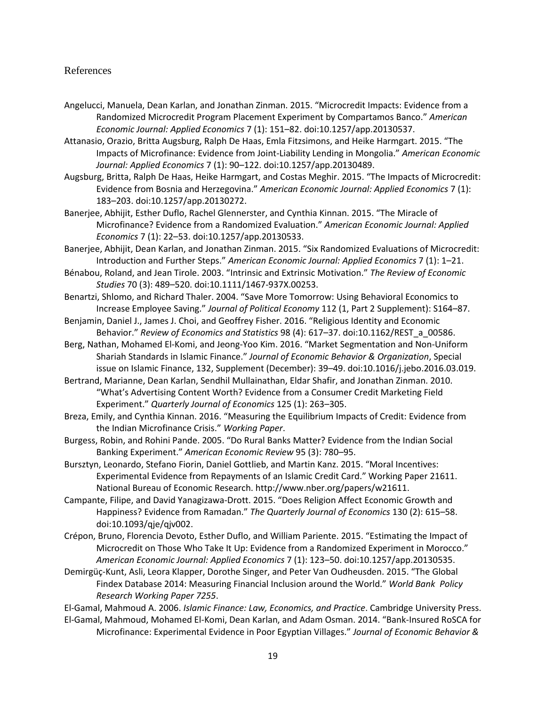#### References

- Angelucci, Manuela, Dean Karlan, and Jonathan Zinman. 2015. "Microcredit Impacts: Evidence from a Randomized Microcredit Program Placement Experiment by Compartamos Banco." *American Economic Journal: Applied Economics* 7 (1): 151–82. doi:10.1257/app.20130537.
- Attanasio, Orazio, Britta Augsburg, Ralph De Haas, Emla Fitzsimons, and Heike Harmgart. 2015. "The Impacts of Microfinance: Evidence from Joint-Liability Lending in Mongolia." *American Economic Journal: Applied Economics* 7 (1): 90–122. doi:10.1257/app.20130489.
- Augsburg, Britta, Ralph De Haas, Heike Harmgart, and Costas Meghir. 2015. "The Impacts of Microcredit: Evidence from Bosnia and Herzegovina." *American Economic Journal: Applied Economics* 7 (1): 183–203. doi:10.1257/app.20130272.
- Banerjee, Abhijit, Esther Duflo, Rachel Glennerster, and Cynthia Kinnan. 2015. "The Miracle of Microfinance? Evidence from a Randomized Evaluation." *American Economic Journal: Applied Economics* 7 (1): 22–53. doi:10.1257/app.20130533.
- Banerjee, Abhijit, Dean Karlan, and Jonathan Zinman. 2015. "Six Randomized Evaluations of Microcredit: Introduction and Further Steps." *American Economic Journal: Applied Economics* 7 (1): 1–21.
- Bénabou, Roland, and Jean Tirole. 2003. "Intrinsic and Extrinsic Motivation." *The Review of Economic Studies* 70 (3): 489–520. doi:10.1111/1467-937X.00253.
- Benartzi, Shlomo, and Richard Thaler. 2004. "Save More Tomorrow: Using Behavioral Economics to Increase Employee Saving." *Journal of Political Economy* 112 (1, Part 2 Supplement): S164–87.
- Benjamin, Daniel J., James J. Choi, and Geoffrey Fisher. 2016. "Religious Identity and Economic Behavior." *Review of Economics and Statistics* 98 (4): 617–37. doi:10.1162/REST\_a\_00586.
- Berg, Nathan, Mohamed El-Komi, and Jeong-Yoo Kim. 2016. "Market Segmentation and Non-Uniform Shariah Standards in Islamic Finance." *Journal of Economic Behavior & Organization*, Special issue on Islamic Finance, 132, Supplement (December): 39–49. doi:10.1016/j.jebo.2016.03.019.
- Bertrand, Marianne, Dean Karlan, Sendhil Mullainathan, Eldar Shafir, and Jonathan Zinman. 2010. "What's Advertising Content Worth? Evidence from a Consumer Credit Marketing Field Experiment." *Quarterly Journal of Economics* 125 (1): 263–305.
- Breza, Emily, and Cynthia Kinnan. 2016. "Measuring the Equilibrium Impacts of Credit: Evidence from the Indian Microfinance Crisis." *Working Paper*.
- Burgess, Robin, and Rohini Pande. 2005. "Do Rural Banks Matter? Evidence from the Indian Social Banking Experiment." *American Economic Review* 95 (3): 780–95.
- Bursztyn, Leonardo, Stefano Fiorin, Daniel Gottlieb, and Martin Kanz. 2015. "Moral Incentives: Experimental Evidence from Repayments of an Islamic Credit Card." Working Paper 21611. National Bureau of Economic Research. http://www.nber.org/papers/w21611.
- Campante, Filipe, and David Yanagizawa-Drott. 2015. "Does Religion Affect Economic Growth and Happiness? Evidence from Ramadan." *The Quarterly Journal of Economics* 130 (2): 615–58. doi:10.1093/qje/qjv002.
- Crépon, Bruno, Florencia Devoto, Esther Duflo, and William Pariente. 2015. "Estimating the Impact of Microcredit on Those Who Take It Up: Evidence from a Randomized Experiment in Morocco." *American Economic Journal: Applied Economics* 7 (1): 123–50. doi:10.1257/app.20130535.
- Demirgüç-Kunt, Asli, Leora Klapper, Dorothe Singer, and Peter Van Oudheusden. 2015. "The Global Findex Database 2014: Measuring Financial Inclusion around the World." *World Bank Policy Research Working Paper 7255*.

El-Gamal, Mahmoud A. 2006. *Islamic Finance: Law, Economics, and Practice*. Cambridge University Press.

El-Gamal, Mahmoud, Mohamed El-Komi, Dean Karlan, and Adam Osman. 2014. "Bank-Insured RoSCA for Microfinance: Experimental Evidence in Poor Egyptian Villages." *Journal of Economic Behavior &*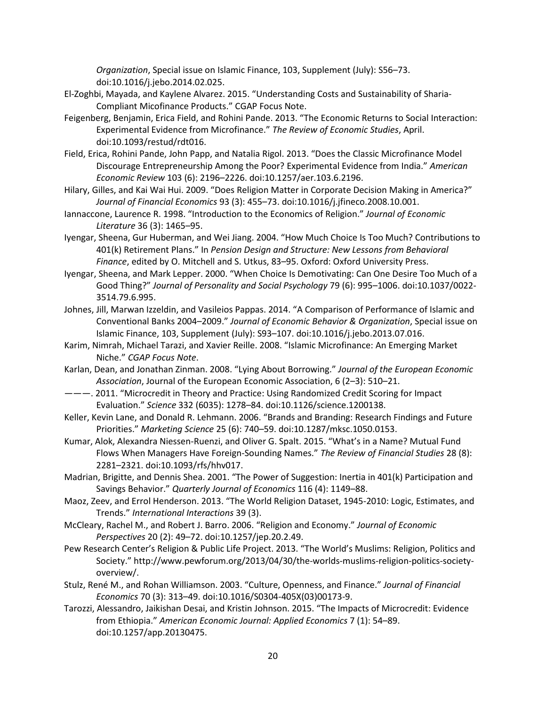*Organization*, Special issue on Islamic Finance, 103, Supplement (July): S56–73. doi:10.1016/j.jebo.2014.02.025.

- El-Zoghbi, Mayada, and Kaylene Alvarez. 2015. "Understanding Costs and Sustainability of Sharia-Compliant Micofinance Products." CGAP Focus Note.
- Feigenberg, Benjamin, Erica Field, and Rohini Pande. 2013. "The Economic Returns to Social Interaction: Experimental Evidence from Microfinance." *The Review of Economic Studies*, April. doi:10.1093/restud/rdt016.
- Field, Erica, Rohini Pande, John Papp, and Natalia Rigol. 2013. "Does the Classic Microfinance Model Discourage Entrepreneurship Among the Poor? Experimental Evidence from India." *American Economic Review* 103 (6): 2196–2226. doi:10.1257/aer.103.6.2196.
- Hilary, Gilles, and Kai Wai Hui. 2009. "Does Religion Matter in Corporate Decision Making in America?" *Journal of Financial Economics* 93 (3): 455–73. doi:10.1016/j.jfineco.2008.10.001.
- Iannaccone, Laurence R. 1998. "Introduction to the Economics of Religion." *Journal of Economic Literature* 36 (3): 1465–95.
- Iyengar, Sheena, Gur Huberman, and Wei Jiang. 2004. "How Much Choice Is Too Much? Contributions to 401(k) Retirement Plans." In *Pension Design and Structure: New Lessons from Behavioral Finance*, edited by O. Mitchell and S. Utkus, 83–95. Oxford: Oxford University Press.
- Iyengar, Sheena, and Mark Lepper. 2000. "When Choice Is Demotivating: Can One Desire Too Much of a Good Thing?" *Journal of Personality and Social Psychology* 79 (6): 995–1006. doi:10.1037/0022- 3514.79.6.995.
- Johnes, Jill, Marwan Izzeldin, and Vasileios Pappas. 2014. "A Comparison of Performance of Islamic and Conventional Banks 2004–2009." *Journal of Economic Behavior & Organization*, Special issue on Islamic Finance, 103, Supplement (July): S93–107. doi:10.1016/j.jebo.2013.07.016.
- Karim, Nimrah, Michael Tarazi, and Xavier Reille. 2008. "Islamic Microfinance: An Emerging Market Niche." *CGAP Focus Note*.
- Karlan, Dean, and Jonathan Zinman. 2008. "Lying About Borrowing." *Journal of the European Economic Association*, Journal of the European Economic Association, 6 (2–3): 510–21.
- ———. 2011. "Microcredit in Theory and Practice: Using Randomized Credit Scoring for Impact Evaluation." *Science* 332 (6035): 1278–84. doi:10.1126/science.1200138.
- Keller, Kevin Lane, and Donald R. Lehmann. 2006. "Brands and Branding: Research Findings and Future Priorities." *Marketing Science* 25 (6): 740–59. doi:10.1287/mksc.1050.0153.
- Kumar, Alok, Alexandra Niessen-Ruenzi, and Oliver G. Spalt. 2015. "What's in a Name? Mutual Fund Flows When Managers Have Foreign-Sounding Names." *The Review of Financial Studies* 28 (8): 2281–2321. doi:10.1093/rfs/hhv017.
- Madrian, Brigitte, and Dennis Shea. 2001. "The Power of Suggestion: Inertia in 401(k) Participation and Savings Behavior." *Quarterly Journal of Economics* 116 (4): 1149–88.
- Maoz, Zeev, and Errol Henderson. 2013. "The World Religion Dataset, 1945-2010: Logic, Estimates, and Trends." *International Interactions* 39 (3).
- McCleary, Rachel M., and Robert J. Barro. 2006. "Religion and Economy." *Journal of Economic Perspectives* 20 (2): 49–72. doi:10.1257/jep.20.2.49.
- Pew Research Center's Religion & Public Life Project. 2013. "The World's Muslims: Religion, Politics and Society." http://www.pewforum.org/2013/04/30/the-worlds-muslims-religion-politics-societyoverview/.
- Stulz, René M., and Rohan Williamson. 2003. "Culture, Openness, and Finance." *Journal of Financial Economics* 70 (3): 313–49. doi:10.1016/S0304-405X(03)00173-9.
- Tarozzi, Alessandro, Jaikishan Desai, and Kristin Johnson. 2015. "The Impacts of Microcredit: Evidence from Ethiopia." *American Economic Journal: Applied Economics* 7 (1): 54–89. doi:10.1257/app.20130475.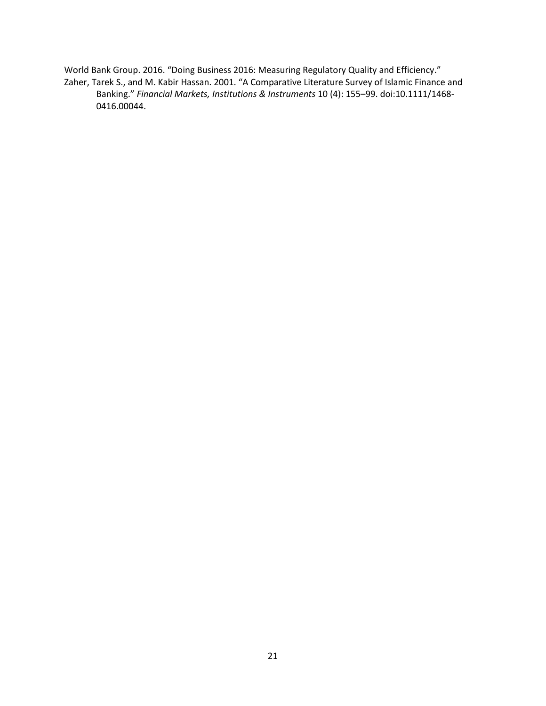World Bank Group. 2016. "Doing Business 2016: Measuring Regulatory Quality and Efficiency." Zaher, Tarek S., and M. Kabir Hassan. 2001. "A Comparative Literature Survey of Islamic Finance and Banking." *Financial Markets, Institutions & Instruments* 10 (4): 155–99. doi:10.1111/1468- 0416.00044.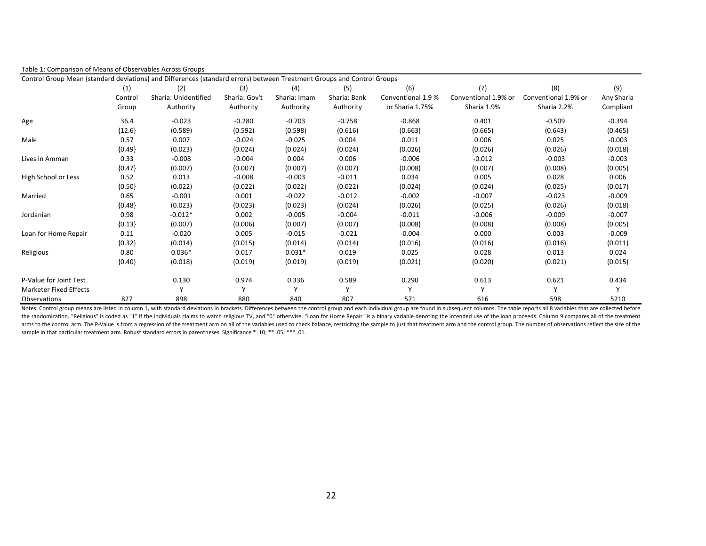| Table 1: Comparison of Means of Observables Across Groups                                                              |          |                      |               |              |              |                    |                      |                      |            |
|------------------------------------------------------------------------------------------------------------------------|----------|----------------------|---------------|--------------|--------------|--------------------|----------------------|----------------------|------------|
| Control Group Mean {standard deviations} and Differences (standard errors) between Treatment Groups and Control Groups |          |                      |               |              |              |                    |                      |                      |            |
|                                                                                                                        | (1)      | (2)                  | (3)           | (4)          | (5)          | (6)                | (7)                  | (8)                  | (9)        |
|                                                                                                                        | Control  | Sharia: Unidentified | Sharia: Gov't | Sharia: Imam | Sharia: Bank | Conventional 1.9 % | Conventional 1.9% or | Conventional 1.9% or | Any Sharia |
|                                                                                                                        | Group    | Authority            | Authority     | Authority    | Authority    | or Sharia 1.75%    | Sharia 1.9%          | Sharia 2.2%          | Compliant  |
| Age                                                                                                                    | 36.4     | $-0.023$             | $-0.280$      | $-0.703$     | $-0.758$     | $-0.868$           | 0.401                | $-0.509$             | $-0.394$   |
|                                                                                                                        | ${12.6}$ | (0.589)              | (0.592)       | (0.598)      | (0.616)      | (0.663)            | (0.665)              | (0.643)              | (0.465)    |
| Male                                                                                                                   | 0.57     | 0.007                | $-0.024$      | $-0.025$     | 0.004        | 0.011              | 0.006                | 0.025                | $-0.003$   |
|                                                                                                                        | ${0.49}$ | (0.023)              | (0.024)       | (0.024)      | (0.024)      | (0.026)            | (0.026)              | (0.026)              | (0.018)    |
| Lives in Amman                                                                                                         | 0.33     | $-0.008$             | $-0.004$      | 0.004        | 0.006        | $-0.006$           | $-0.012$             | $-0.003$             | $-0.003$   |
|                                                                                                                        | ${0.47}$ | (0.007)              | (0.007)       | (0.007)      | (0.007)      | (0.008)            | (0.007)              | (0.008)              | (0.005)    |
| High School or Less                                                                                                    | 0.52     | 0.013                | $-0.008$      | $-0.003$     | $-0.011$     | 0.034              | 0.005                | 0.028                | 0.006      |
|                                                                                                                        | ${0.50}$ | (0.022)              | (0.022)       | (0.022)      | (0.022)      | (0.024)            | (0.024)              | (0.025)              | (0.017)    |
| Married                                                                                                                | 0.65     | $-0.001$             | 0.001         | $-0.022$     | $-0.012$     | $-0.002$           | $-0.007$             | $-0.023$             | $-0.009$   |
|                                                                                                                        | ${0.48}$ | (0.023)              | (0.023)       | (0.023)      | (0.024)      | (0.026)            | (0.025)              | (0.026)              | (0.018)    |
| Jordanian                                                                                                              | 0.98     | $-0.012*$            | 0.002         | $-0.005$     | $-0.004$     | $-0.011$           | $-0.006$             | $-0.009$             | $-0.007$   |
|                                                                                                                        | ${0.13}$ | (0.007)              | (0.006)       | (0.007)      | (0.007)      | (0.008)            | (0.008)              | (0.008)              | (0.005)    |
| Loan for Home Repair                                                                                                   | 0.11     | $-0.020$             | 0.005         | $-0.015$     | $-0.021$     | $-0.004$           | 0.000                | 0.003                | $-0.009$   |
|                                                                                                                        | ${0.32}$ | (0.014)              | (0.015)       | (0.014)      | (0.014)      | (0.016)            | (0.016)              | (0.016)              | (0.011)    |
| Religious                                                                                                              | 0.80     | $0.036*$             | 0.017         | $0.031*$     | 0.019        | 0.025              | 0.028                | 0.013                | 0.024      |
|                                                                                                                        | ${0.40}$ | (0.018)              | (0.019)       | (0.019)      | (0.019)      | (0.021)            | (0.020)              | (0.021)              | (0.015)    |
| P-Value for Joint Test                                                                                                 |          | 0.130                | 0.974         | 0.336        | 0.589        | 0.290              | 0.613                | 0.621                | 0.434      |
| <b>Marketer Fixed Effects</b>                                                                                          |          | $\checkmark$         | Υ             | Y            | Υ            | Υ                  | Υ                    | Y                    | v          |
| Observations                                                                                                           | 827      | 898                  | 880           | 840          | 807          | 571                | 616                  | 598                  | 5210       |

Notes: Control group means are listed in column 1, with standard deviations in brackets. Differences between the control group and each individual group are found in subsequent columns. The table reports all 8 variables th the randomization. "Religious" is coded as "1" if the individuals claims to watch religious TV, and "0" otherwise. "Loan for Home Repair" is a binary variable denoting the intended use of the loan proceeds. Column 9 compar arms to the control arm. The P-Value is from a regression of the treatment arm on all of the variables used to check balance, restricitng the sample to just that treatment arm and the control group. The number of observati sample in that particular treatment arm. Robust standard errors in parentheses. Significance \* .10; \*\* .05; \*\*\* .01.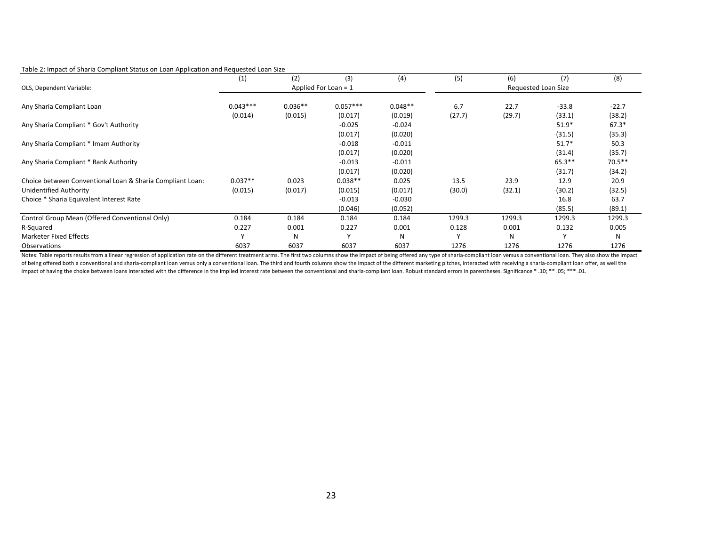#### Table 2: Impact of Sharia Compliant Status on Loan Application and Requested Loan Size

| . .                                                       | (1)          | (2)       | (3)                    | (4)       | (5)                 | (6)    | (7)      | (8)       |  |
|-----------------------------------------------------------|--------------|-----------|------------------------|-----------|---------------------|--------|----------|-----------|--|
| OLS, Dependent Variable:                                  |              |           | Applied For Loan = $1$ |           | Requested Loan Size |        |          |           |  |
|                                                           |              |           |                        |           |                     |        |          |           |  |
| Any Sharia Compliant Loan                                 | $0.043***$   | $0.036**$ | $0.057***$             | $0.048**$ | 6.7                 | 22.7   | $-33.8$  | $-22.7$   |  |
|                                                           | (0.014)      | (0.015)   | (0.017)                | (0.019)   | (27.7)              | (29.7) | (33.1)   | (38.2)    |  |
| Any Sharia Compliant * Gov't Authority                    |              |           | $-0.025$               | $-0.024$  |                     |        | $51.9*$  | $67.3*$   |  |
|                                                           |              |           | (0.017)                | (0.020)   |                     |        | (31.5)   | (35.3)    |  |
| Any Sharia Compliant * Imam Authority                     |              |           | $-0.018$               | $-0.011$  |                     |        | $51.7*$  | 50.3      |  |
|                                                           |              |           | (0.017)                | (0.020)   |                     |        | (31.4)   | (35.7)    |  |
| Any Sharia Compliant * Bank Authority                     |              |           | $-0.013$               | $-0.011$  |                     |        | $65.3**$ | $70.5***$ |  |
|                                                           |              |           | (0.017)                | (0.020)   |                     |        | (31.7)   | (34.2)    |  |
| Choice between Conventional Loan & Sharia Compliant Loan: | $0.037**$    | 0.023     | $0.038**$              | 0.025     | 13.5                | 23.9   | 12.9     | 20.9      |  |
| Unidentified Authority                                    | (0.015)      | (0.017)   | (0.015)                | (0.017)   | (30.0)              | (32.1) | (30.2)   | (32.5)    |  |
| Choice * Sharia Equivalent Interest Rate                  |              |           | $-0.013$               | $-0.030$  |                     |        | 16.8     | 63.7      |  |
|                                                           |              |           | (0.046)                | (0.052)   |                     |        | (85.5)   | (89.1)    |  |
| Control Group Mean (Offered Conventional Only)            | 0.184        | 0.184     | 0.184                  | 0.184     | 1299.3              | 1299.3 | 1299.3   | 1299.3    |  |
| R-Squared                                                 | 0.227        | 0.001     | 0.227                  | 0.001     | 0.128               | 0.001  | 0.132    | 0.005     |  |
| Marketer Fixed Effects                                    | $\mathsf{v}$ | N         | $\mathbf{v}$           | N         | $\mathbf{v}$        | N      |          | N         |  |
| Observations                                              | 6037         | 6037      | 6037                   | 6037      | 1276                | 1276   | 1276     | 1276      |  |

Notes: Table reports results from a linear regression of application rate on the different treatment arms. The first two columns show the impact of being offered any type of sharia-compliant loan versus a conventional loan of being offered both a conventional and sharia-compliant loan versus only a conventional loan. The third and fourth columns show the impact of the different marketing pitches, interacted with receiving a sharia-compliant impact of having the choice between loans interacted with the difference in the implied interest rate between the conventional and sharia-compliant loan. Robust standard errors in parentheses. Significance \*.10; \*\* .01.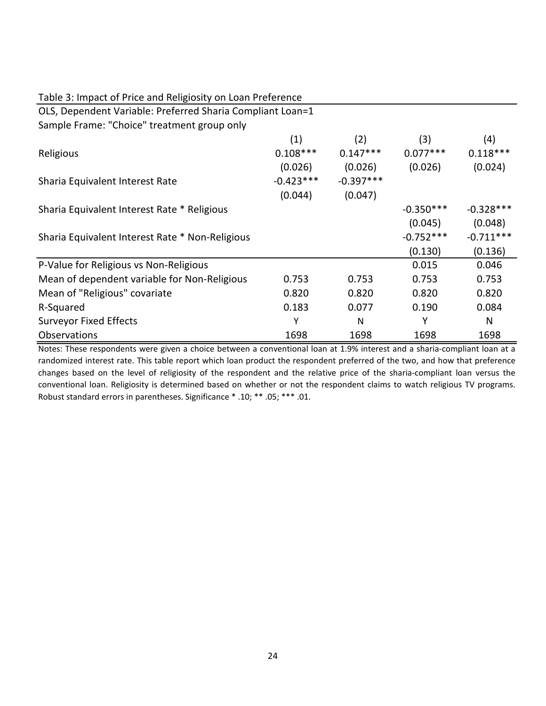| Table 3: Impact of Price and Religiosity on Loan Preference |             |             |             |             |  |  |  |  |
|-------------------------------------------------------------|-------------|-------------|-------------|-------------|--|--|--|--|
| OLS, Dependent Variable: Preferred Sharia Compliant Loan=1  |             |             |             |             |  |  |  |  |
| Sample Frame: "Choice" treatment group only                 |             |             |             |             |  |  |  |  |
|                                                             | (1)         | (2)         | (3)         | (4)         |  |  |  |  |
| Religious                                                   | $0.108***$  | $0.147***$  | $0.077***$  | $0.118***$  |  |  |  |  |
|                                                             | (0.026)     | (0.026)     | (0.026)     | (0.024)     |  |  |  |  |
| Sharia Equivalent Interest Rate                             | $-0.423***$ | $-0.397***$ |             |             |  |  |  |  |
|                                                             | (0.044)     | (0.047)     |             |             |  |  |  |  |
| Sharia Equivalent Interest Rate * Religious                 |             |             | $-0.350***$ | $-0.328***$ |  |  |  |  |
|                                                             |             |             | (0.045)     | (0.048)     |  |  |  |  |
| Sharia Equivalent Interest Rate * Non-Religious             |             |             | $-0.752***$ | $-0.711***$ |  |  |  |  |
|                                                             |             |             | (0.130)     | (0.136)     |  |  |  |  |
| P-Value for Religious vs Non-Religious                      |             |             | 0.015       | 0.046       |  |  |  |  |
| Mean of dependent variable for Non-Religious                | 0.753       | 0.753       | 0.753       | 0.753       |  |  |  |  |
| Mean of "Religious" covariate                               | 0.820       | 0.820       | 0.820       | 0.820       |  |  |  |  |
| R-Squared                                                   | 0.183       | 0.077       | 0.190       | 0.084       |  |  |  |  |
| <b>Surveyor Fixed Effects</b>                               | Υ           | N           | Y           | N           |  |  |  |  |
| <b>Observations</b>                                         | 1698        | 1698        | 1698        | 1698        |  |  |  |  |

Notes: These respondents were given a choice between a conventional loan at 1.9% interest and a sharia-compliant loan at a randomized interest rate. This table report which loan product the respondent preferred of the two, and how that preference changes based on the level of religiosity of the respondent and the relative price of the sharia-compliant loan versus the conventional loan. Religiosity is determined based on whether or not the respondent claims to watch religious TV programs. Robust standard errors in parentheses. Significance \* .10; \*\* .05; \*\*\* .01.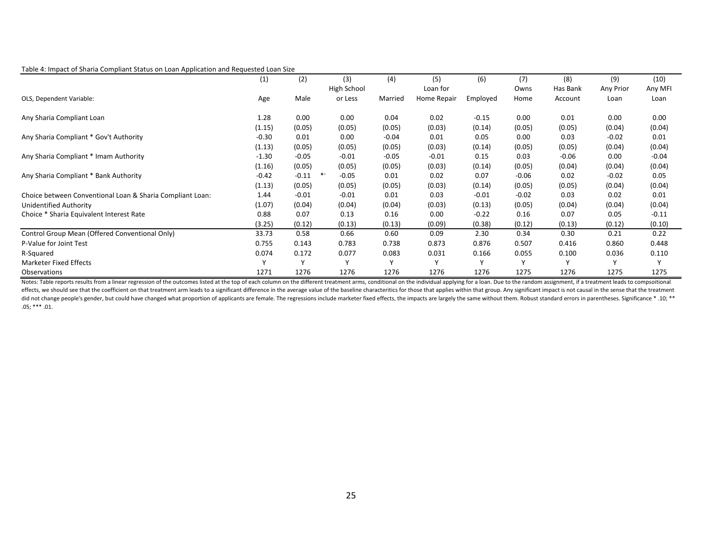#### Table 4: Impact of Sharia Compliant Status on Loan Application and Requested Loan Size

|                                                           | (1)     | (2)     | (3)         | (4)     | (5)         | (6)      | (7)          | (8)      | (9)       | (10)         |
|-----------------------------------------------------------|---------|---------|-------------|---------|-------------|----------|--------------|----------|-----------|--------------|
|                                                           |         |         | High School |         | Loan for    |          | Owns         | Has Bank | Any Prior | Any MFI      |
| OLS, Dependent Variable:                                  | Age     | Male    | or Less     | Married | Home Repair | Employed | Home         | Account  | Loan      | Loan         |
| Any Sharia Compliant Loan                                 | 1.28    | 0.00    | 0.00        | 0.04    | 0.02        | $-0.15$  | 0.00         | 0.01     | 0.00      | 0.00         |
|                                                           | (1.15)  | (0.05)  | (0.05)      | (0.05)  | (0.03)      | (0.14)   | (0.05)       | (0.05)   | (0.04)    | (0.04)       |
| Any Sharia Compliant * Gov't Authority                    | $-0.30$ | 0.01    | 0.00        | $-0.04$ | 0.01        | 0.05     | 0.00         | 0.03     | $-0.02$   | 0.01         |
|                                                           | (1.13)  | (0.05)  | (0.05)      | (0.05)  | (0.03)      | (0.14)   | (0.05)       | (0.05)   | (0.04)    | (0.04)       |
| Any Sharia Compliant * Imam Authority                     | $-1.30$ | $-0.05$ | $-0.01$     | $-0.05$ | $-0.01$     | 0.15     | 0.03         | $-0.06$  | 0.00      | $-0.04$      |
|                                                           | (1.16)  | (0.05)  | (0.05)      | (0.05)  | (0.03)      | (0.14)   | (0.05)       | (0.04)   | (0.04)    | (0.04)       |
| Any Sharia Compliant * Bank Authority                     | $-0.42$ | $-0.11$ | $-0.05$     | 0.01    | 0.02        | 0.07     | $-0.06$      | 0.02     | $-0.02$   | 0.05         |
|                                                           | (1.13)  | (0.05)  | (0.05)      | (0.05)  | (0.03)      | (0.14)   | (0.05)       | (0.05)   | (0.04)    | (0.04)       |
| Choice between Conventional Loan & Sharia Compliant Loan: | 1.44    | $-0.01$ | $-0.01$     | 0.01    | 0.03        | $-0.01$  | $-0.02$      | 0.03     | 0.02      | 0.01         |
| Unidentified Authority                                    | (1.07)  | (0.04)  | (0.04)      | (0.04)  | (0.03)      | (0.13)   | (0.05)       | (0.04)   | (0.04)    | (0.04)       |
| Choice * Sharia Equivalent Interest Rate                  | 0.88    | 0.07    | 0.13        | 0.16    | 0.00        | $-0.22$  | 0.16         | 0.07     | 0.05      | $-0.11$      |
|                                                           | (3.25)  | (0.12)  | (0.13)      | (0.13)  | (0.09)      | (0.38)   | (0.12)       | (0.13)   | (0.12)    | (0.10)       |
| Control Group Mean (Offered Conventional Only)            | 33.73   | 0.58    | 0.66        | 0.60    | 0.09        | 2.30     | 0.34         | 0.30     | 0.21      | 0.22         |
| P-Value for Joint Test                                    | 0.755   | 0.143   | 0.783       | 0.738   | 0.873       | 0.876    | 0.507        | 0.416    | 0.860     | 0.448        |
| R-Squared                                                 | 0.074   | 0.172   | 0.077       | 0.083   | 0.031       | 0.166    | 0.055        | 0.100    | 0.036     | 0.110        |
| Marketer Fixed Effects                                    |         |         |             |         |             |          | $\mathsf{v}$ |          |           | $\mathbf{v}$ |
| Observations                                              | 1271    | 1276    | 1276        | 1276    | 1276        | 1276     | 1275         | 1276     | 1275      | 1275         |

Notes: Table reports results from a linear regression of the outcomes listed at the top of each column on the different treatment arms, conditional on the individual applying for a loan. Due to the random assignment, if a effects, we should see that the coefficient on that treatment arm leads to a significant difference in the average value of the baseline characteritics for those that applies within that group. Any significant impact is no did not change people's gender, but could have changed what proportion of applicants are female. The regressions include marketer fixed effects, the impacts are largely the same without them. Robust standard errors in pare  $.05;***.01.$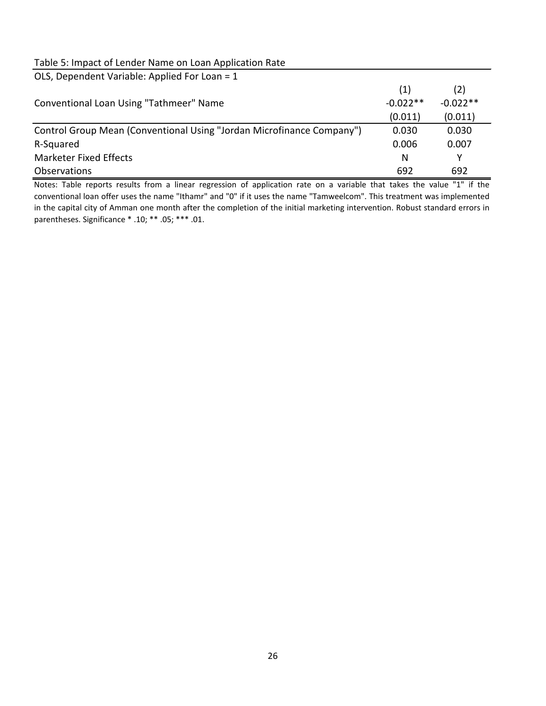# Table 5: Impact of Lender Name on Loan Application Rate

| OLS, Dependent Variable: Applied For Loan = 1                         |            |            |
|-----------------------------------------------------------------------|------------|------------|
|                                                                       | (1)        | (2)        |
| Conventional Loan Using "Tathmeer" Name                               | $-0.022**$ | $-0.022**$ |
|                                                                       | (0.011)    | (0.011)    |
| Control Group Mean (Conventional Using "Jordan Microfinance Company") | 0.030      | 0.030      |
| R-Squared                                                             | 0.006      | 0.007      |
| <b>Marketer Fixed Effects</b>                                         | N          | Υ          |
| Observations                                                          | 692        | 692        |

Notes: Table reports results from a linear regression of application rate on a variable that takes the value "1" if the conventional loan offer uses the name "Ithamr" and "0" if it uses the name "Tamweelcom". This treatment was implemented in the capital city of Amman one month after the completion of the initial marketing intervention. Robust standard errors in parentheses. Significance \* .10; \*\* .05; \*\*\* .01.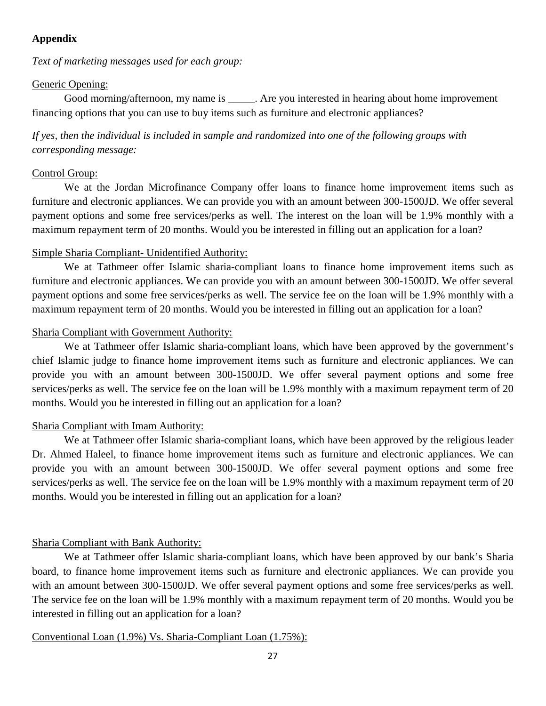# **Appendix**

*Text of marketing messages used for each group:*

## Generic Opening:

Good morning/afternoon, my name is \_\_\_\_\_\_. Are you interested in hearing about home improvement financing options that you can use to buy items such as furniture and electronic appliances?

*If yes, then the individual is included in sample and randomized into one of the following groups with corresponding message:*

## Control Group:

We at the Jordan Microfinance Company offer loans to finance home improvement items such as furniture and electronic appliances. We can provide you with an amount between 300-1500JD. We offer several payment options and some free services/perks as well. The interest on the loan will be 1.9% monthly with a maximum repayment term of 20 months. Would you be interested in filling out an application for a loan?

## Simple Sharia Compliant- Unidentified Authority:

We at Tathmeer offer Islamic sharia-compliant loans to finance home improvement items such as furniture and electronic appliances. We can provide you with an amount between 300-1500JD. We offer several payment options and some free services/perks as well. The service fee on the loan will be 1.9% monthly with a maximum repayment term of 20 months. Would you be interested in filling out an application for a loan?

## Sharia Compliant with Government Authority:

We at Tathmeer offer Islamic sharia-compliant loans, which have been approved by the government's chief Islamic judge to finance home improvement items such as furniture and electronic appliances. We can provide you with an amount between 300-1500JD. We offer several payment options and some free services/perks as well. The service fee on the loan will be 1.9% monthly with a maximum repayment term of 20 months. Would you be interested in filling out an application for a loan?

## Sharia Compliant with Imam Authority:

We at Tathmeer offer Islamic sharia-compliant loans, which have been approved by the religious leader Dr. Ahmed Haleel, to finance home improvement items such as furniture and electronic appliances. We can provide you with an amount between 300-1500JD. We offer several payment options and some free services/perks as well. The service fee on the loan will be 1.9% monthly with a maximum repayment term of 20 months. Would you be interested in filling out an application for a loan?

## Sharia Compliant with Bank Authority:

We at Tathmeer offer Islamic sharia-compliant loans, which have been approved by our bank's Sharia board, to finance home improvement items such as furniture and electronic appliances. We can provide you with an amount between 300-1500JD. We offer several payment options and some free services/perks as well. The service fee on the loan will be 1.9% monthly with a maximum repayment term of 20 months. Would you be interested in filling out an application for a loan?

## Conventional Loan (1.9%) Vs. Sharia-Compliant Loan (1.75%):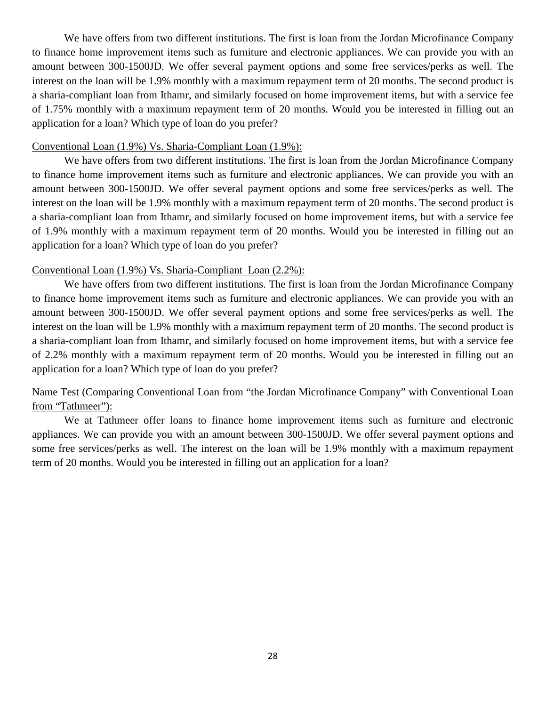We have offers from two different institutions. The first is loan from the Jordan Microfinance Company to finance home improvement items such as furniture and electronic appliances. We can provide you with an amount between 300-1500JD. We offer several payment options and some free services/perks as well. The interest on the loan will be 1.9% monthly with a maximum repayment term of 20 months. The second product is a sharia-compliant loan from Ithamr, and similarly focused on home improvement items, but with a service fee of 1.75% monthly with a maximum repayment term of 20 months. Would you be interested in filling out an application for a loan? Which type of loan do you prefer?

## Conventional Loan (1.9%) Vs. Sharia-Compliant Loan (1.9%):

We have offers from two different institutions. The first is loan from the Jordan Microfinance Company to finance home improvement items such as furniture and electronic appliances. We can provide you with an amount between 300-1500JD. We offer several payment options and some free services/perks as well. The interest on the loan will be 1.9% monthly with a maximum repayment term of 20 months. The second product is a sharia-compliant loan from Ithamr, and similarly focused on home improvement items, but with a service fee of 1.9% monthly with a maximum repayment term of 20 months. Would you be interested in filling out an application for a loan? Which type of loan do you prefer?

## Conventional Loan (1.9%) Vs. Sharia-Compliant Loan (2.2%):

We have offers from two different institutions. The first is loan from the Jordan Microfinance Company to finance home improvement items such as furniture and electronic appliances. We can provide you with an amount between 300-1500JD. We offer several payment options and some free services/perks as well. The interest on the loan will be 1.9% monthly with a maximum repayment term of 20 months. The second product is a sharia-compliant loan from Ithamr, and similarly focused on home improvement items, but with a service fee of 2.2% monthly with a maximum repayment term of 20 months. Would you be interested in filling out an application for a loan? Which type of loan do you prefer?

# Name Test (Comparing Conventional Loan from "the Jordan Microfinance Company" with Conventional Loan from "Tathmeer"):

We at Tathmeer offer loans to finance home improvement items such as furniture and electronic appliances. We can provide you with an amount between 300-1500JD. We offer several payment options and some free services/perks as well. The interest on the loan will be 1.9% monthly with a maximum repayment term of 20 months. Would you be interested in filling out an application for a loan?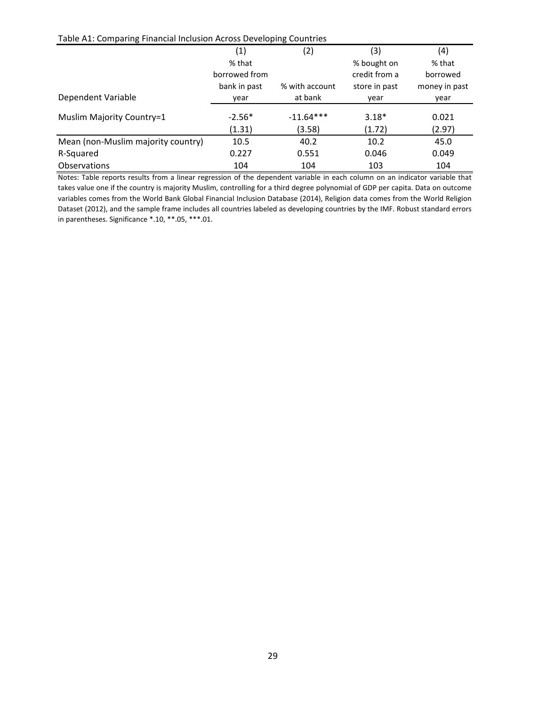Table A1: Comparing Financial Inclusion Across Developing Countries

|                                    | (1)           | (2)            | (3)           | (4)           |
|------------------------------------|---------------|----------------|---------------|---------------|
|                                    | % that        |                | % bought on   | % that        |
|                                    | borrowed from |                | credit from a | borrowed      |
|                                    | bank in past  | % with account | store in past | money in past |
| Dependent Variable                 | year          | at bank        | year          | year          |
| Muslim Majority Country=1          | $-2.56*$      | $-11.64***$    | $3.18*$       | 0.021         |
|                                    | (1.31)        | (3.58)         | (1.72)        | (2.97)        |
| Mean (non-Muslim majority country) | 10.5          | 40.2           | 10.2          | 45.0          |
| R-Squared                          | 0.227         | 0.551          | 0.046         | 0.049         |
| <b>Observations</b>                | 104           | 104            | 103           | 104           |

Notes: Table reports results from a linear regression of the dependent variable in each column on an indicator variable that takes value one if the country is majority Muslim, controlling for a third degree polynomial of GDP per capita. Data on outcome variables comes from the World Bank Global Financial Inclusion Database (2014), Religion data comes from the World Religion Dataset (2012), and the sample frame includes all countries labeled as developing countries by the IMF. Robust standard errors in parentheses. Significance \*.10, \*\*.05, \*\*\*.01.